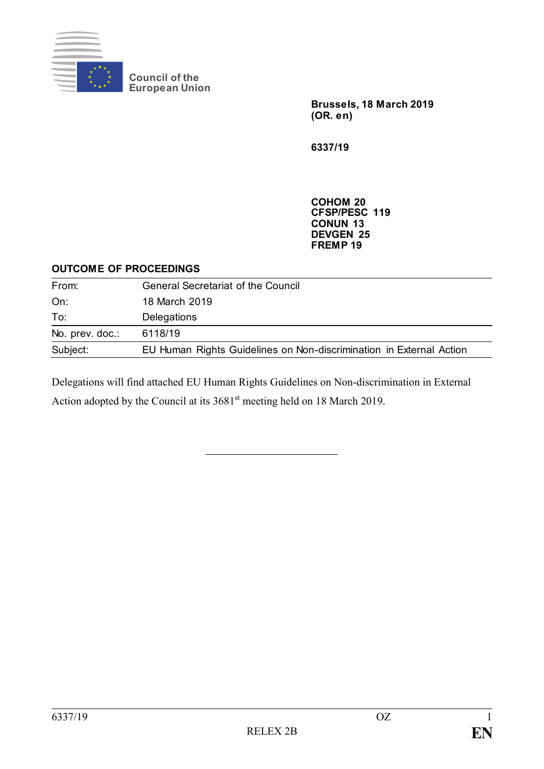

**Council of the European Union** **Brussels, 18 March 2019 (OR. e n)**

**6337/19**

**COHOM 20 CFSP/PESC 119 CONUN 13 DEVGEN 25 FREMP 19**

#### **OUTCOME OF PROCEEDINGS**

| From:           | <b>General Secretariat of the Council</b>                           |
|-----------------|---------------------------------------------------------------------|
| On:             | 18 March 2019                                                       |
| To:             | <b>Delegations</b>                                                  |
| No. prev. doc.: | 6118/19                                                             |
| Subject:        | EU Human Rights Guidelines on Non-discrimination in External Action |

Delegations will find attached EU Human Rights Guidelines on Non-discrimination in External Action adopted by the Council at its 3681<sup>st</sup> meeting held on 18 March 2019.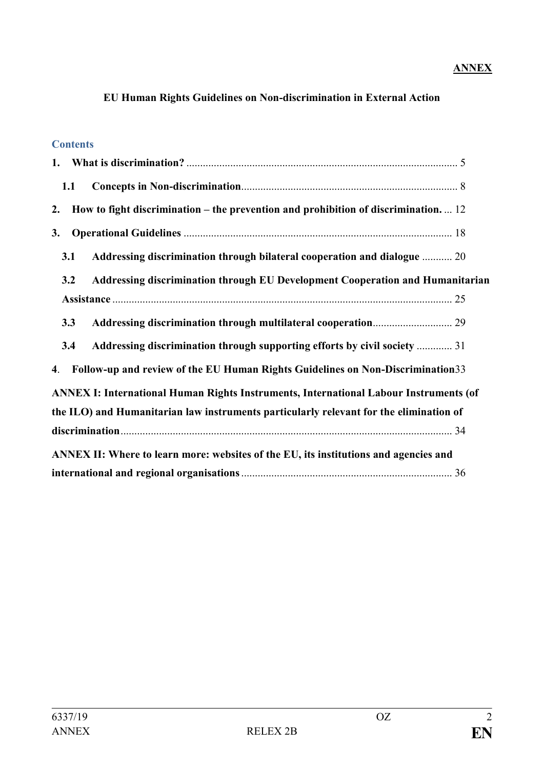# **ANNEX**

# **EU Human Rights Guidelines on Non-discrimination in External Action**

#### **Contents**

| 1.1                                                                                              |  |
|--------------------------------------------------------------------------------------------------|--|
| How to fight discrimination – the prevention and prohibition of discrimination. $\dots$ 12<br>2. |  |
| 3.                                                                                               |  |
| 3.1<br>Addressing discrimination through bilateral cooperation and dialogue  20                  |  |
| Addressing discrimination through EU Development Cooperation and Humanitarian<br>3.2             |  |
|                                                                                                  |  |
| 3.3                                                                                              |  |
| Addressing discrimination through supporting efforts by civil society  31<br>3.4                 |  |
| Follow-up and review of the EU Human Rights Guidelines on Non-Discrimination 33<br>4.            |  |
| <b>ANNEX I: International Human Rights Instruments, International Labour Instruments (of</b>     |  |
| the ILO) and Humanitarian law instruments particularly relevant for the elimination of           |  |
|                                                                                                  |  |
| ANNEX II: Where to learn more: websites of the EU, its institutions and agencies and             |  |
|                                                                                                  |  |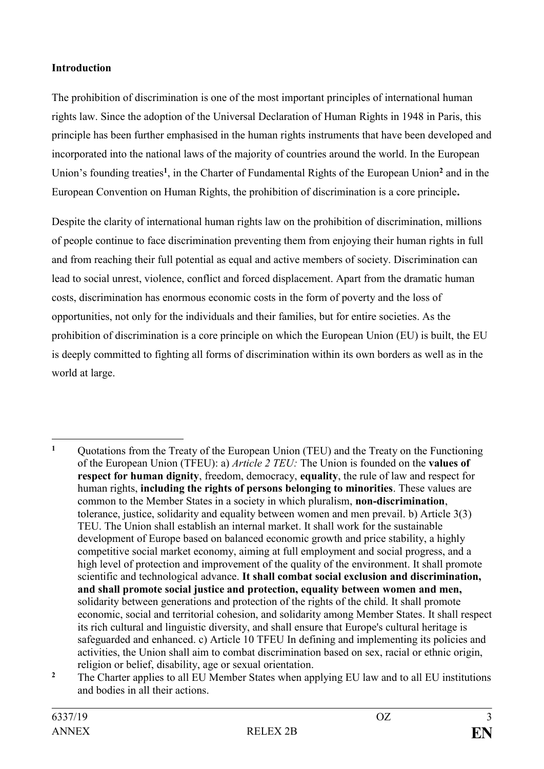# **Introduction**

The prohibition of discrimination is one of the most important principles of international human rights law. Since the adoption of the Universal Declaration of Human Rights in 1948 in Paris, this principle has been further emphasised in the human rights instruments that have been developed and incorporated into the national laws of the majority of countries around the world. In the European Union's founding treaties**<sup>1</sup>** , in the Charter of Fundamental Rights of the European Union**<sup>2</sup>** and in the European Convention on Human Rights, the prohibition of discrimination is a core principle**.** 

Despite the clarity of international human rights law on the prohibition of discrimination, millions of people continue to face discrimination preventing them from enjoying their human rights in full and from reaching their full potential as equal and active members of society. Discrimination can lead to social unrest, violence, conflict and forced displacement. Apart from the dramatic human costs, discrimination has enormous economic costs in the form of poverty and the loss of opportunities, not only for the individuals and their families, but for entire societies. As the prohibition of discrimination is a core principle on which the European Union (EU) is built, the EU is deeply committed to fighting all forms of discrimination within its own borders as well as in the world at large.

 $\mathbf{1}$ **<sup>1</sup>** Quotations from the Treaty of the European Union (TEU) and the Treaty on the Functioning of the European Union (TFEU): a) *Article 2 TEU:* The Union is founded on the **values of respect for human dignity**, freedom, democracy, **equality**, the rule of law and respect for human rights, **including the rights of persons belonging to minorities**. These values are common to the Member States in a society in which pluralism, **non-discrimination**, tolerance, justice, solidarity and equality between women and men prevail. b) Article 3(3) TEU. The Union shall establish an internal market. It shall work for the sustainable development of Europe based on balanced economic growth and price stability, a highly competitive social market economy, aiming at full employment and social progress, and a high level of protection and improvement of the quality of the environment. It shall promote scientific and technological advance. **It shall combat social exclusion and discrimination, and shall promote social justice and protection, equality between women and men,**  solidarity between generations and protection of the rights of the child. It shall promote economic, social and territorial cohesion, and solidarity among Member States. It shall respect its rich cultural and linguistic diversity, and shall ensure that Europe's cultural heritage is safeguarded and enhanced. c) Article 10 TFEU In defining and implementing its policies and activities, the Union shall aim to combat discrimination based on sex, racial or ethnic origin, religion or belief, disability, age or sexual orientation.

<sup>&</sup>lt;sup>2</sup> The Charter applies to all EU Member States when applying EU law and to all EU institutions and bodies in all their actions.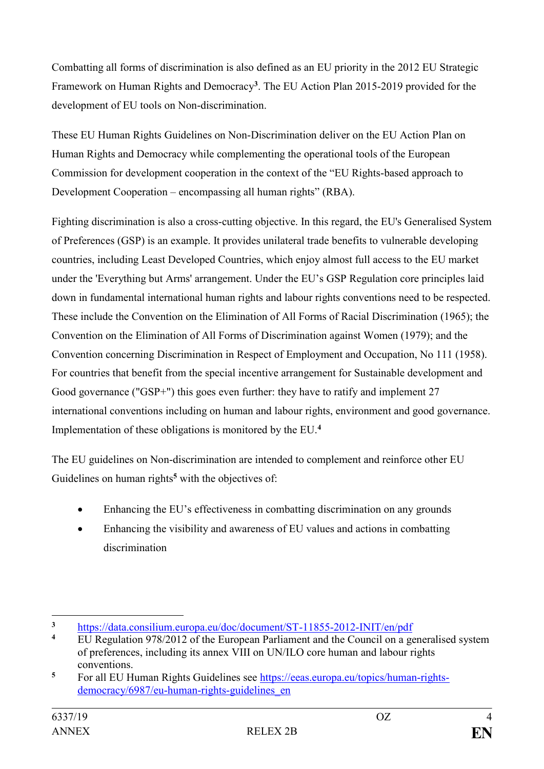Combatting all forms of discrimination is also defined as an EU priority in the 2012 EU Strategic Framework on Human Rights and Democracy**<sup>3</sup>** . The EU Action Plan 2015-2019 provided for the development of EU tools on Non-discrimination.

These EU Human Rights Guidelines on Non-Discrimination deliver on the EU Action Plan on Human Rights and Democracy while complementing the operational tools of the European Commission for development cooperation in the context of the "EU Rights-based approach to Development Cooperation – encompassing all human rights" (RBA).

Fighting discrimination is also a cross-cutting objective. In this regard, the EU's Generalised System of Preferences (GSP) is an example. It provides unilateral trade benefits to vulnerable developing countries, including Least Developed Countries, which enjoy almost full access to the EU market under the 'Everything but Arms' arrangement. Under the EU's GSP Regulation core principles laid down in fundamental international human rights and labour rights conventions need to be respected. These include the Convention on the Elimination of All Forms of Racial Discrimination (1965); the Convention on the Elimination of All Forms of Discrimination against Women (1979); and the Convention concerning Discrimination in Respect of Employment and Occupation, No 111 (1958). For countries that benefit from the special incentive arrangement for Sustainable development and Good governance ("GSP+") this goes even further: they have to ratify and implement 27 international conventions including on human and labour rights, environment and good governance. Implementation of these obligations is monitored by the EU.**<sup>4</sup>**

The EU guidelines on Non-discrimination are intended to complement and reinforce other EU Guidelines on human rights<sup>5</sup> with the objectives of:

- Enhancing the EU's effectiveness in combatting discrimination on any grounds
- Enhancing the visibility and awareness of EU values and actions in combatting discrimination

<sup>1</sup> <sup>3</sup> <https://data.consilium.europa.eu/doc/document/ST-11855-2012-INIT/en/pdf>

**<sup>4</sup>** EU Regulation 978/2012 of the European Parliament and the Council on a generalised system of preferences, including its annex VIII on UN/ILO core human and labour rights conventions.

**<sup>5</sup>** For all EU Human Rights Guidelines see [https://eeas.europa.eu/topics/human-rights](https://eeas.europa.eu/topics/human-rights-democracy/6987/eu-human-rights-guidelines_en)[democracy/6987/eu-human-rights-guidelines\\_en](https://eeas.europa.eu/topics/human-rights-democracy/6987/eu-human-rights-guidelines_en)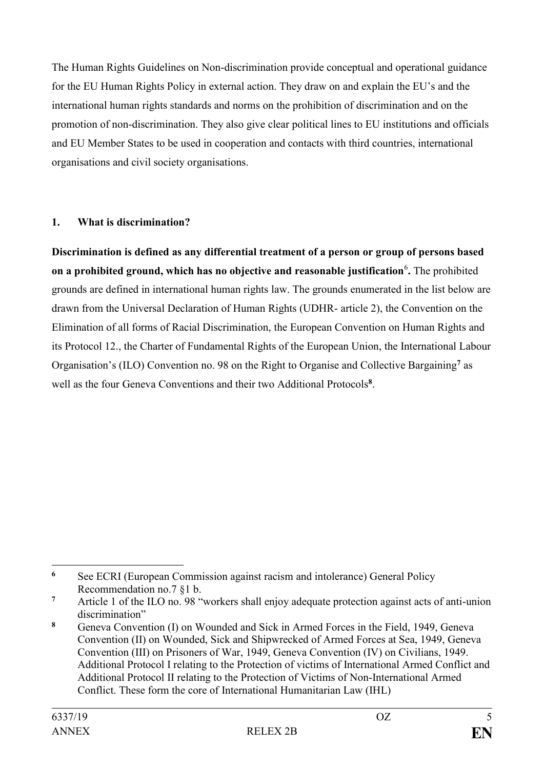The Human Rights Guidelines on Non-discrimination provide conceptual and operational guidance for the EU Human Rights Policy in external action. They draw on and explain the EU's and the international human rights standards and norms on the prohibition of discrimination and on the promotion of non-discrimination. They also give clear political lines to EU institutions and officials and EU Member States to be used in cooperation and contacts with third countries, international organisations and civil society organisations.

# <span id="page-4-0"></span>**1. What is discrimination?**

**Discrimination is defined as any differential treatment of a person or group of persons based on a prohibited ground, which has no objective and reasonable justification**<sup>6</sup> **.** The prohibited grounds are defined in international human rights law. The grounds enumerated in the list below are drawn from the Universal Declaration of Human Rights (UDHR- article 2), the Convention on the Elimination of all forms of Racial Discrimination, the European Convention on Human Rights and its Protocol 12., the Charter of Fundamental Rights of the European Union, the International Labour Organisation's (ILO) Convention no. 98 on the Right to Organise and Collective Bargaining**<sup>7</sup>** as well as the four Geneva Conventions and their two Additional Protocols**<sup>8</sup>** .

<sup>&</sup>lt;u>.</u> **<sup>6</sup>** See ECRI (European Commission against racism and intolerance) General Policy Recommendation no.7 §1 b.

**<sup>7</sup>** Article 1 of the ILO no. 98 "workers shall enjoy adequate protection against acts of anti-union discrimination"

**<sup>8</sup>** Geneva Convention (I) on Wounded and Sick in Armed Forces in the Field, 1949, Geneva Convention (II) on Wounded, Sick and Shipwrecked of Armed Forces at Sea, 1949, Geneva Convention (III) on Prisoners of War, 1949, Geneva Convention (IV) on Civilians, 1949. Additional Protocol I relating to the Protection of victims of International Armed Conflict and Additional Protocol II relating to the Protection of Victims of Non-International Armed Conflict. These form the core of International Humanitarian Law (IHL)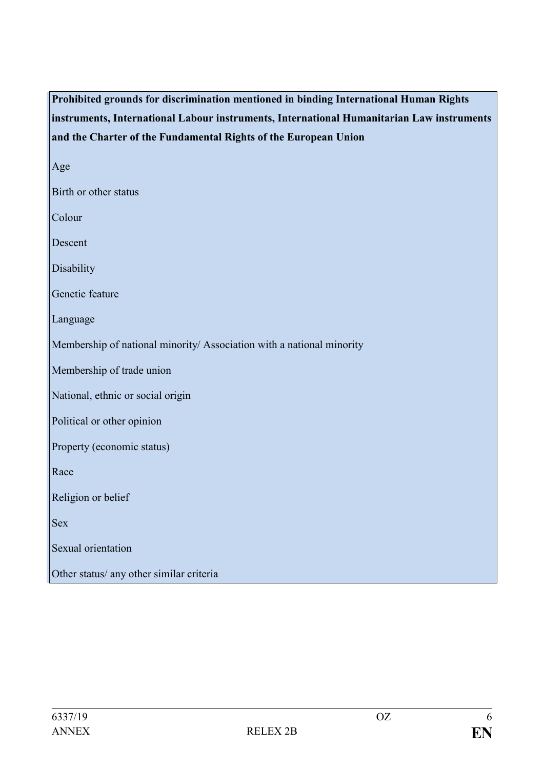# **Prohibited grounds for discrimination mentioned in binding International Human Rights instruments, International Labour instruments, International Humanitarian Law instruments and the Charter of the Fundamental Rights of the European Union**

Age

Birth or other status

Colour

Descent

Disability

Genetic feature

Language

Membership of national minority/ Association with a national minority

Membership of trade union

National, ethnic or social origin

Political or other opinion

Property (economic status)

Race

Religion or belief

Sex

Sexual orientation

Other status/ any other similar criteria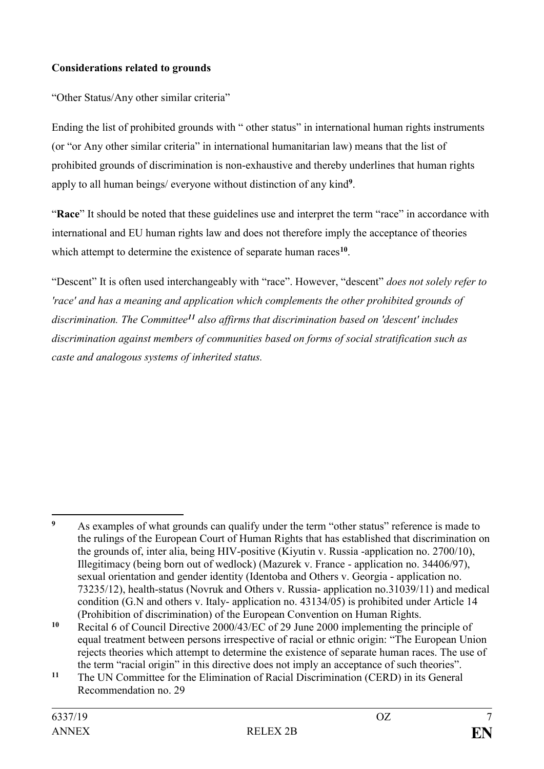# **Considerations related to grounds**

"Other Status/Any other similar criteria"

Ending the list of prohibited grounds with " other status" in international human rights instruments (or "or Any other similar criteria" in international humanitarian law) means that the list of prohibited grounds of discrimination is non-exhaustive and thereby underlines that human rights apply to all human beings/ everyone without distinction of any kind**<sup>9</sup>** .

"**Race**" It should be noted that these guidelines use and interpret the term "race" in accordance with international and EU human rights law and does not therefore imply the acceptance of theories which attempt to determine the existence of separate human races**<sup>10</sup>** .

"Descent" It is often used interchangeably with "race". However, "descent" *does not solely refer to 'race' and has a meaning and application which complements the other prohibited grounds of discrimination. The Committee<sup>11</sup> also affirms that discrimination based on 'descent' includes discrimination against members of communities based on forms of social stratification such as caste and analogous systems of inherited status.*

<u>.</u>

**<sup>9</sup>** As examples of what grounds can qualify under the term "other status" reference is made to the rulings of the European Court of Human Rights that has established that discrimination on the grounds of, inter alia, being HIV-positive (Kiyutin v. Russia -application no. 2700/10), Illegitimacy (being born out of wedlock) (Mazurek v. France - application no. 34406/97), sexual orientation and gender identity (Identoba and Others v. Georgia - application no. 73235/12), health-status (Novruk and Others v. Russia- application no.31039/11) and medical condition (G.N and others v. Italy- application no. 43134/05) is prohibited under Article 14 (Prohibition of discrimination) of the European Convention on Human Rights.

**<sup>10</sup>** Recital 6 of Council Directive 2000/43/EC of 29 June 2000 implementing the principle of equal treatment between persons irrespective of racial or ethnic origin: "The European Union rejects theories which attempt to determine the existence of separate human races. The use of the term "racial origin" in this directive does not imply an acceptance of such theories".

**<sup>11</sup>** The UN Committee for the Elimination of Racial Discrimination (CERD) in its General Recommendation no. 29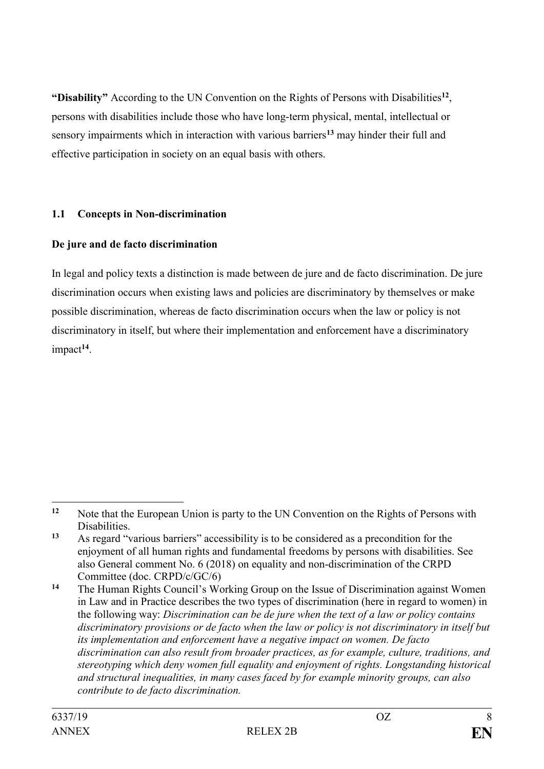"Disability" According to the UN Convention on the Rights of Persons with Disabilities<sup>12</sup>, persons with disabilities include those who have long-term physical, mental, intellectual or sensory impairments which in interaction with various barriers**<sup>13</sup>** may hinder their full and effective participation in society on an equal basis with others.

# <span id="page-7-0"></span>**1.1 Concepts in Non-discrimination**

# **De jure and de facto discrimination**

In legal and policy texts a distinction is made between de jure and de facto discrimination. De jure discrimination occurs when existing laws and policies are discriminatory by themselves or make possible discrimination, whereas de facto discrimination occurs when the law or policy is not discriminatory in itself, but where their implementation and enforcement have a discriminatory impact**<sup>14</sup>** .

<sup>1</sup> **<sup>12</sup>** Note that the European Union is party to the UN Convention on the Rights of Persons with Disabilities.

**<sup>13</sup>** As regard "various barriers" accessibility is to be considered as a precondition for the enjoyment of all human rights and fundamental freedoms by persons with disabilities. See also General comment No. 6 (2018) on equality and non-discrimination of the CRPD Committee (doc. CRPD/c/GC/6)

**<sup>14</sup>** The Human Rights Council's Working Group on the Issue of Discrimination against Women in Law and in Practice describes the two types of discrimination (here in regard to women) in the following way: *Discrimination can be de jure when the text of a law or policy contains discriminatory provisions or de facto when the law or policy is not discriminatory in itself but its implementation and enforcement have a negative impact on women. De facto discrimination can also result from broader practices, as for example, culture, traditions, and stereotyping which deny women full equality and enjoyment of rights. Longstanding historical and structural inequalities, in many cases faced by for example minority groups, can also contribute to de facto discrimination.*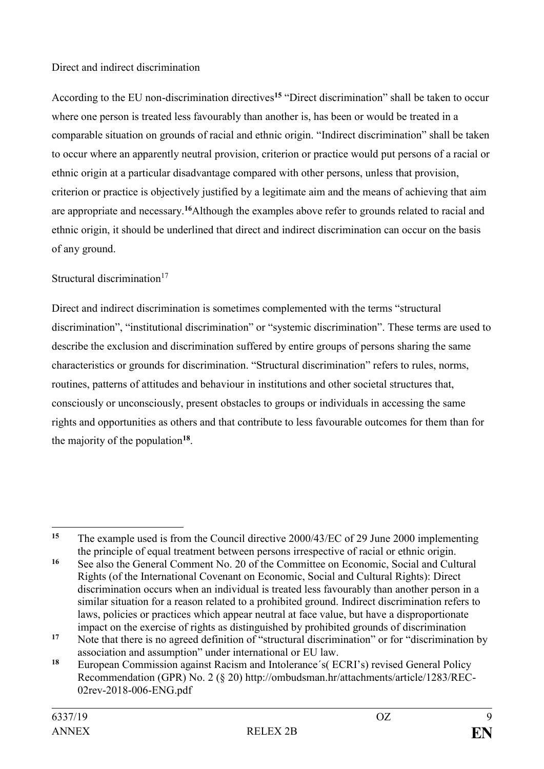### Direct and indirect discrimination

According to the EU non-discrimination directives**<sup>15</sup>** "Direct discrimination" shall be taken to occur where one person is treated less favourably than another is, has been or would be treated in a comparable situation on grounds of racial and ethnic origin. "Indirect discrimination" shall be taken to occur where an apparently neutral provision, criterion or practice would put persons of a racial or ethnic origin at a particular disadvantage compared with other persons, unless that provision, criterion or practice is objectively justified by a legitimate aim and the means of achieving that aim are appropriate and necessary.**<sup>16</sup>**Although the examples above refer to grounds related to racial and ethnic origin, it should be underlined that direct and indirect discrimination can occur on the basis of any ground.

# Structural discrimination $17$

Direct and indirect discrimination is sometimes complemented with the terms "structural discrimination", "institutional discrimination" or "systemic discrimination". These terms are used to describe the exclusion and discrimination suffered by entire groups of persons sharing the same characteristics or grounds for discrimination. "Structural discrimination" refers to rules, norms, routines, patterns of attitudes and behaviour in institutions and other societal structures that, consciously or unconsciously, present obstacles to groups or individuals in accessing the same rights and opportunities as others and that contribute to less favourable outcomes for them than for the majority of the population**<sup>18</sup>** .

<sup>1</sup> **<sup>15</sup>** The example used is from the Council directive 2000/43/EC of 29 June 2000 implementing the principle of equal treatment between persons irrespective of racial or ethnic origin.

**<sup>16</sup>** See also the General Comment No. 20 of the Committee on Economic, Social and Cultural Rights (of the International Covenant on Economic, Social and Cultural Rights): Direct discrimination occurs when an individual is treated less favourably than another person in a similar situation for a reason related to a prohibited ground. Indirect discrimination refers to laws, policies or practices which appear neutral at face value, but have a disproportionate impact on the exercise of rights as distinguished by prohibited grounds of discrimination

<sup>&</sup>lt;sup>17</sup> Note that there is no agreed definition of "structural discrimination" or for "discrimination by association and assumption" under international or EU law.

**<sup>18</sup>** European Commission against Racism and Intolerance´s( ECRI's) revised General Policy Recommendation (GPR) No. 2 (§ 20) http://ombudsman.hr/attachments/article/1283/REC-02rev-2018-006-ENG.pdf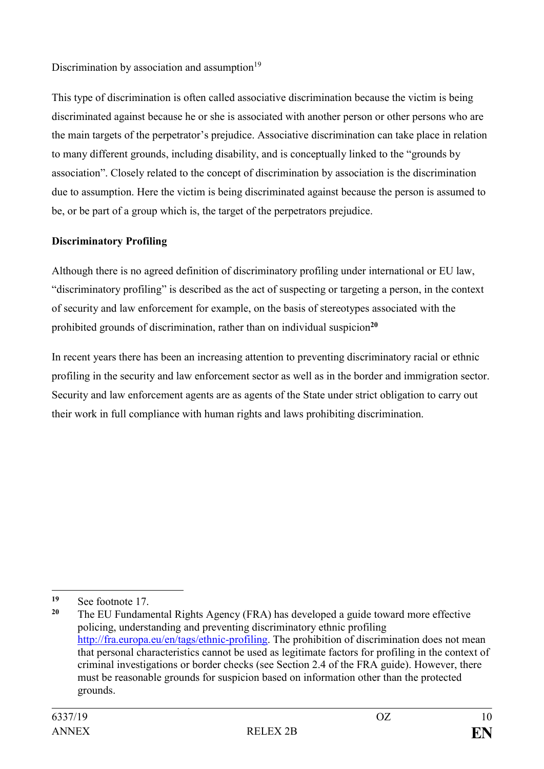Discrimination by association and assumption $19$ 

This type of discrimination is often called associative discrimination because the victim is being discriminated against because he or she is associated with another person or other persons who are the main targets of the perpetrator's prejudice. Associative discrimination can take place in relation to many different grounds, including disability, and is conceptually linked to the "grounds by association". Closely related to the concept of discrimination by association is the discrimination due to assumption. Here the victim is being discriminated against because the person is assumed to be, or be part of a group which is, the target of the perpetrators prejudice.

# **Discriminatory Profiling**

Although there is no agreed definition of discriminatory profiling under international or EU law, "discriminatory profiling" is described as the act of suspecting or targeting a person, in the context of security and law enforcement for example, on the basis of stereotypes associated with the prohibited grounds of discrimination, rather than on individual suspicion**<sup>20</sup>**

In recent years there has been an increasing attention to preventing discriminatory racial or ethnic profiling in the security and law enforcement sector as well as in the border and immigration sector. Security and law enforcement agents are as agents of the State under strict obligation to carry out their work in full compliance with human rights and laws prohibiting discrimination.

1

**<sup>19</sup>** See footnote 17.

The EU Fundamental Rights Agency (FRA) has developed a guide toward more effective policing, understanding and preventing discriminatory ethnic profiling [http://fra.europa.eu/en/tags/ethnic-profiling.](http://fra.europa.eu/en/tags/ethnic-profiling) The prohibition of discrimination does not mean that personal characteristics cannot be used as legitimate factors for profiling in the context of criminal investigations or border checks (see Section 2.4 of the FRA guide). However, there must be reasonable grounds for suspicion based on information other than the protected grounds.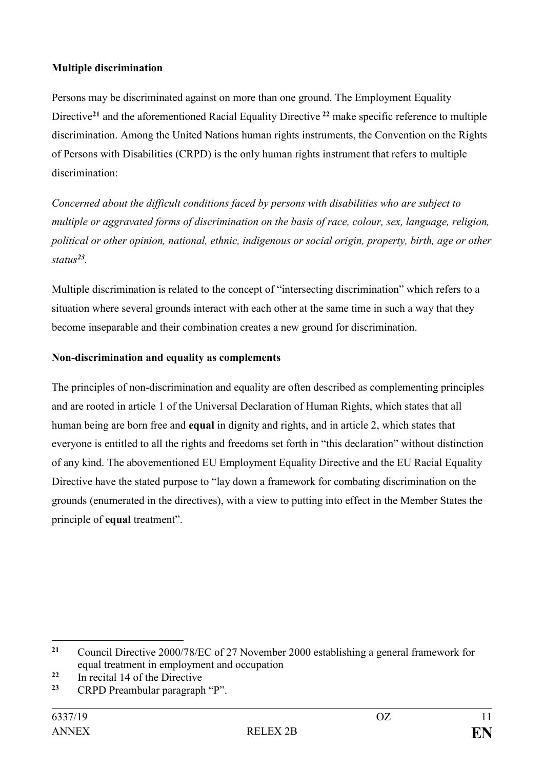# **Multiple discrimination**

Persons may be discriminated against on more than one ground. The Employment Equality Directive**<sup>21</sup>** and the aforementioned Racial Equality Directive **<sup>22</sup>** make specific reference to multiple discrimination. Among the United Nations human rights instruments, the Convention on the Rights of Persons with Disabilities (CRPD) is the only human rights instrument that refers to multiple discrimination:

*Concerned about the difficult conditions faced by persons with disabilities who are subject to multiple or aggravated forms of discrimination on the basis of race, colour, sex, language, religion, political or other opinion, national, ethnic, indigenous or social origin, property, birth, age or other status<sup>23</sup> .*

Multiple discrimination is related to the concept of "intersecting discrimination" which refers to a situation where several grounds interact with each other at the same time in such a way that they become inseparable and their combination creates a new ground for discrimination.

# **Non-discrimination and equality as complements**

The principles of non-discrimination and equality are often described as complementing principles and are rooted in article 1 of the Universal Declaration of Human Rights, which states that all human being are born free and **equal** in dignity and rights, and in article 2, which states that everyone is entitled to all the rights and freedoms set forth in "this declaration" without distinction of any kind. The abovementioned EU Employment Equality Directive and the EU Racial Equality Directive have the stated purpose to "lay down a framework for combating discrimination on the grounds (enumerated in the directives), with a view to putting into effect in the Member States the principle of **equal** treatment".

<span id="page-10-0"></span><sup>&</sup>lt;u>.</u> **<sup>21</sup>** Council Directive 2000/78/EC of 27 November 2000 establishing a general framework for equal treatment in employment and occupation

**<sup>22</sup>** In recital 14 of the Directive

**<sup>23</sup>** CRPD Preambular paragraph "P".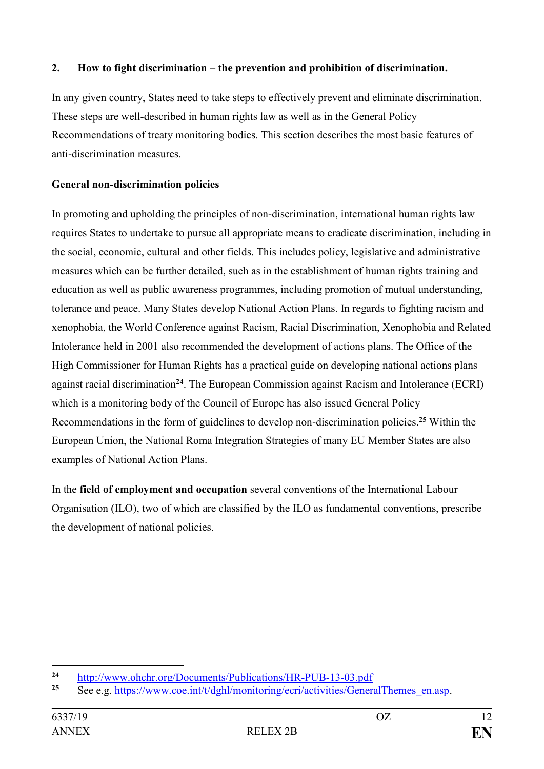# **2. How to fight discrimination – the prevention and prohibition of discrimination.**

In any given country, States need to take steps to effectively prevent and eliminate discrimination. These steps are well-described in human rights law as well as in the General Policy Recommendations of treaty monitoring bodies. This section describes the most basic features of anti-discrimination measures.

# **General non-discrimination policies**

In promoting and upholding the principles of non-discrimination, international human rights law requires States to undertake to pursue all appropriate means to eradicate discrimination, including in the social, economic, cultural and other fields. This includes policy, legislative and administrative measures which can be further detailed, such as in the establishment of human rights training and education as well as public awareness programmes, including promotion of mutual understanding, tolerance and peace. Many States develop National Action Plans. In regards to fighting racism and xenophobia, the World Conference against Racism, Racial Discrimination, Xenophobia and Related Intolerance held in 2001 also recommended the development of actions plans. The Office of the High Commissioner for Human Rights has a practical guide on developing national actions plans against racial discrimination**<sup>24</sup>**. The European Commission against Racism and Intolerance (ECRI) which is a monitoring body of the Council of Europe has also issued General Policy Recommendations in the form of guidelines to develop non-discrimination policies.**<sup>25</sup>** Within the European Union, the National Roma Integration Strategies of many EU Member States are also examples of National Action Plans.

In the **field of employment and occupation** several conventions of the International Labour Organisation (ILO), two of which are classified by the ILO as fundamental conventions, prescribe the development of national policies.

 $24$ <sup>24</sup> <http://www.ohchr.org/Documents/Publications/HR-PUB-13-03.pdf><br>25 See e.g. https://www.eee.int/t/dehl/monitoring/equiledivities/General

**<sup>25</sup>** See e.g. [https://www.coe.int/t/dghl/monitoring/ecri/activities/GeneralThemes\\_en.asp.](https://www.coe.int/t/dghl/monitoring/ecri/activities/GeneralThemes_en.asp)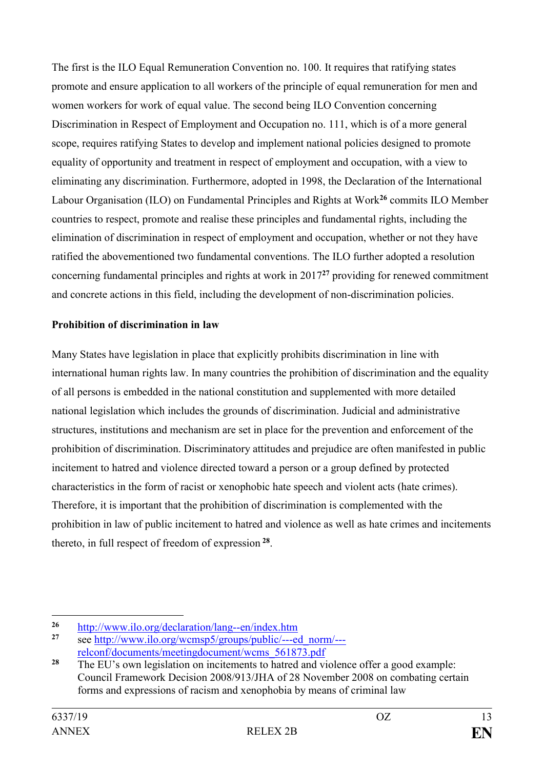The first is the ILO Equal Remuneration Convention no. 100. It requires that ratifying states promote and ensure application to all workers of the principle of equal remuneration for men and women workers for work of equal value. The second being ILO Convention concerning Discrimination in Respect of Employment and Occupation no. 111, which is of a more general scope, requires ratifying States to develop and implement national policies designed to promote equality of opportunity and treatment in respect of employment and occupation, with a view to eliminating any discrimination. Furthermore, adopted in 1998, the Declaration of the International Labour Organisation (ILO) on Fundamental Principles and Rights at Work**<sup>26</sup>** commits ILO Member countries to respect, promote and realise these principles and fundamental rights, including the elimination of discrimination in respect of employment and occupation, whether or not they have ratified the abovementioned two fundamental conventions. The ILO further adopted a resolution concerning fundamental principles and rights at work in 2017**<sup>27</sup>** providing for renewed commitment and concrete actions in this field, including the development of non-discrimination policies.

# **Prohibition of discrimination in law**

Many States have legislation in place that explicitly prohibits discrimination in line with international human rights law. In many countries the prohibition of discrimination and the equality of all persons is embedded in the national constitution and supplemented with more detailed national legislation which includes the grounds of discrimination. Judicial and administrative structures, institutions and mechanism are set in place for the prevention and enforcement of the prohibition of discrimination. Discriminatory attitudes and prejudice are often manifested in public incitement to hatred and violence directed toward a person or a group defined by protected characteristics in the form of racist or xenophobic hate speech and violent acts (hate crimes). Therefore, it is important that the prohibition of discrimination is complemented with the prohibition in law of public incitement to hatred and violence as well as hate crimes and incitements thereto, in full respect of freedom of expression **<sup>28</sup>** .

1

<sup>&</sup>lt;sup>26</sup> <http://www.ilo.org/declaration/lang--en/index.htm>

**<sup>27</sup>** see [http://www.ilo.org/wcmsp5/groups/public/---ed\\_norm/--](http://www.ilo.org/wcmsp5/groups/public/---ed_norm/---relconf/documents/meetingdocument/wcms_561873.pdf) [relconf/documents/meetingdocument/wcms\\_561873.pdf](http://www.ilo.org/wcmsp5/groups/public/---ed_norm/---relconf/documents/meetingdocument/wcms_561873.pdf)

<sup>&</sup>lt;sup>28</sup> The EU's own legislation on incitements to hatred and violence offer a good example: Council Framework Decision 2008/913/JHA of 28 November 2008 on combating certain forms and expressions of racism and xenophobia by means of criminal law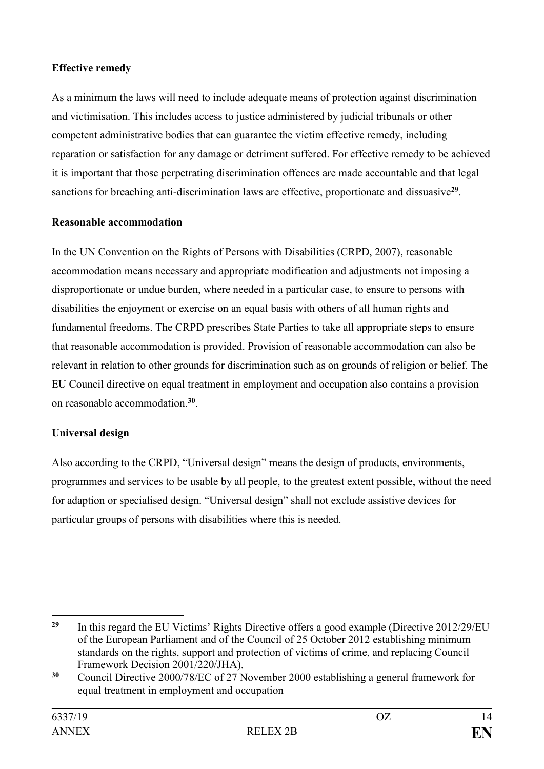# **Effective remedy**

As a minimum the laws will need to include adequate means of protection against discrimination and victimisation. This includes access to justice administered by judicial tribunals or other competent administrative bodies that can guarantee the victim effective remedy, including reparation or satisfaction for any damage or detriment suffered. For effective remedy to be achieved it is important that those perpetrating discrimination offences are made accountable and that legal sanctions for breaching anti-discrimination laws are effective, proportionate and dissuasive<sup>29</sup>.

# **Reasonable accommodation**

In the UN Convention on the Rights of Persons with Disabilities (CRPD, 2007), reasonable accommodation means necessary and appropriate modification and adjustments not imposing a disproportionate or undue burden, where needed in a particular case, to ensure to persons with disabilities the enjoyment or exercise on an equal basis with others of all human rights and fundamental freedoms. The CRPD prescribes State Parties to take all appropriate steps to ensure that reasonable accommodation is provided. Provision of reasonable accommodation can also be relevant in relation to other grounds for discrimination such as on grounds of religion or belief. The EU Council directive on equal treatment in employment and occupation also contains a provision on reasonable accommodation.**<sup>30</sup>** .

# **Universal design**

Also according to the CRPD, "Universal design" means the design of products, environments, programmes and services to be usable by all people, to the greatest extent possible, without the need for adaption or specialised design. "Universal design" shall not exclude assistive devices for particular groups of persons with disabilities where this is needed.

<sup>1</sup> <sup>29</sup> In this regard the EU Victims' Rights Directive offers a good example (Directive 2012/29/EU of the European Parliament and of the Council of 25 October 2012 establishing minimum standards on the rights, support and protection of victims of crime, and replacing Council Framework Decision 2001/220/JHA).

**<sup>30</sup>** Council Directive 2000/78/EC of 27 November 2000 establishing a general framework for equal treatment in employment and occupation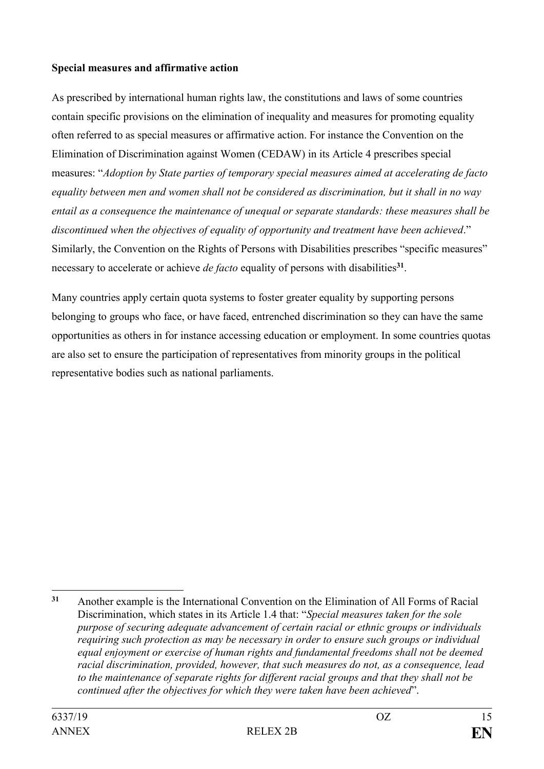#### **Special measures and affirmative action**

As prescribed by international human rights law, the constitutions and laws of some countries contain specific provisions on the elimination of inequality and measures for promoting equality often referred to as special measures or affirmative action. For instance the Convention on the Elimination of Discrimination against Women (CEDAW) in its Article 4 prescribes special measures: "*Adoption by State parties of temporary special measures aimed at accelerating de facto equality between men and women shall not be considered as discrimination, but it shall in no way entail as a consequence the maintenance of unequal or separate standards: these measures shall be discontinued when the objectives of equality of opportunity and treatment have been achieved*." Similarly, the Convention on the Rights of Persons with Disabilities prescribes "specific measures" necessary to accelerate or achieve *de facto* equality of persons with disabilities**<sup>31</sup>** .

Many countries apply certain quota systems to foster greater equality by supporting persons belonging to groups who face, or have faced, entrenched discrimination so they can have the same opportunities as others in for instance accessing education or employment. In some countries quotas are also set to ensure the participation of representatives from minority groups in the political representative bodies such as national parliaments.

<sup>1</sup> **<sup>31</sup>** Another example is the International Convention on the Elimination of All Forms of Racial Discrimination, which states in its Article 1.4 that: "*Special measures taken for the sole purpose of securing adequate advancement of certain racial or ethnic groups or individuals requiring such protection as may be necessary in order to ensure such groups or individual equal enjoyment or exercise of human rights and fundamental freedoms shall not be deemed racial discrimination, provided, however, that such measures do not, as a consequence, lead to the maintenance of separate rights for different racial groups and that they shall not be continued after the objectives for which they were taken have been achieved*".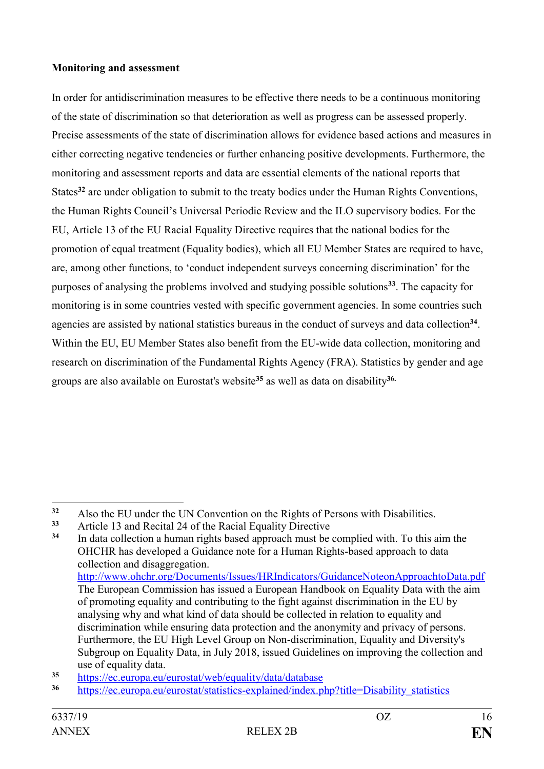#### **Monitoring and assessment**

In order for antidiscrimination measures to be effective there needs to be a continuous monitoring of the state of discrimination so that deterioration as well as progress can be assessed properly. Precise assessments of the state of discrimination allows for evidence based actions and measures in either correcting negative tendencies or further enhancing positive developments. Furthermore, the monitoring and assessment reports and data are essential elements of the national reports that States**<sup>32</sup>** are under obligation to submit to the treaty bodies under the Human Rights Conventions, the Human Rights Council's Universal Periodic Review and the ILO supervisory bodies. For the EU, Article 13 of the EU Racial Equality Directive requires that the national bodies for the promotion of equal treatment (Equality bodies), which all EU Member States are required to have, are, among other functions, to 'conduct independent surveys concerning discrimination' for the purposes of analysing the problems involved and studying possible solutions**<sup>33</sup>**. The capacity for monitoring is in some countries vested with specific government agencies. In some countries such agencies are assisted by national statistics bureaus in the conduct of surveys and data collection<sup>34</sup>. Within the EU, EU Member States also benefit from the EU-wide data collection, monitoring and research on discrimination of the Fundamental Rights Agency (FRA). Statistics by gender and age groups are also available on Eurostat's website**<sup>35</sup>** as well as data on disability**36.**

1

<sup>&</sup>lt;sup>32</sup> Also the EU under the UN Convention on the Rights of Persons with Disabilities.<br><sup>33</sup> Article 12 and Posital 24 of the Passial Equality Directive

**<sup>33</sup>** Article 13 and Recital 24 of the Racial Equality Directive

**<sup>34</sup>** In data collection a human rights based approach must be complied with. To this aim the OHCHR has developed a Guidance note for a Human Rights-based approach to data collection and disaggregation. <http://www.ohchr.org/Documents/Issues/HRIndicators/GuidanceNoteonApproachtoData.pdf> The European Commission has issued a European Handbook on Equality Data with the aim of promoting equality and contributing to the fight against discrimination in the EU by analysing why and what kind of data should be collected in relation to equality and discrimination while ensuring data protection and the anonymity and privacy of persons. Furthermore, the EU High Level Group on Non-discrimination, Equality and Diversity's Subgroup on Equality Data, in July 2018, issued Guidelines on improving the collection and use of equality data.

**<sup>35</sup>** <https://ec.europa.eu/eurostat/web/equality/data/database>

**<sup>36</sup>** [https://ec.europa.eu/eurostat/statistics-explained/index.php?title=Disability\\_statistics](https://ec.europa.eu/eurostat/statistics-explained/index.php?title=Disability_statistics)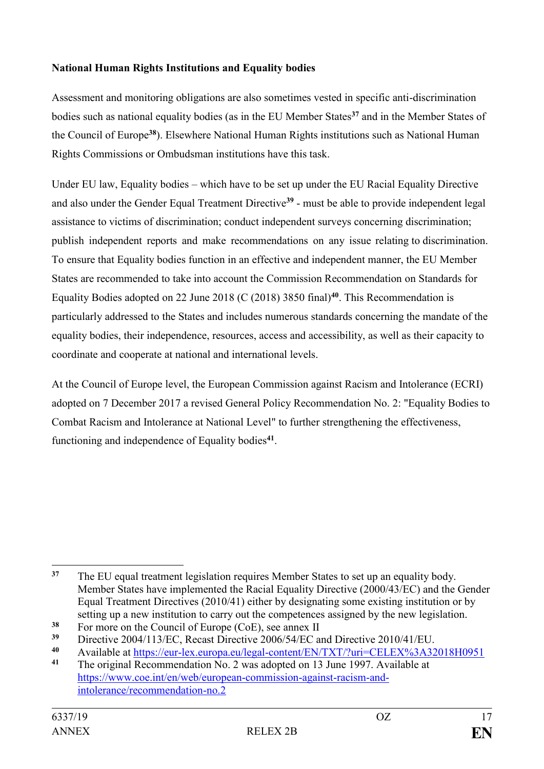# **National Human Rights Institutions and Equality bodies**

Assessment and monitoring obligations are also sometimes vested in specific anti-discrimination bodies such as national equality bodies (as in the EU Member States**<sup>37</sup>** and in the Member States of the Council of Europe**<sup>38</sup>**). Elsewhere National Human Rights institutions such as National Human Rights Commissions or Ombudsman institutions have this task.

Under EU law, Equality bodies – which have to be set up under the EU Racial Equality Directive and also under the Gender Equal Treatment Directive**<sup>39</sup>** - must be able to provide independent legal assistance to victims of discrimination; conduct independent surveys concerning discrimination; publish independent reports and make recommendations on any issue relating to discrimination. To ensure that Equality bodies function in an effective and independent manner, the EU Member States are recommended to take into account the Commission Recommendation on Standards for Equality Bodies adopted on 22 June 2018 (C (2018) 3850 final)**<sup>40</sup>**. This Recommendation is particularly addressed to the States and includes numerous standards concerning the mandate of the equality bodies, their independence, resources, access and accessibility, as well as their capacity to coordinate and cooperate at national and international levels.

At the Council of Europe level, the European Commission against Racism and Intolerance (ECRI) adopted on 7 December 2017 a revised General Policy Recommendation No. 2: "Equality Bodies to Combat Racism and Intolerance at National Level" to further strengthening the effectiveness, functioning and independence of Equality bodies**<sup>41</sup>** .

<sup>&</sup>lt;u>.</u> **<sup>37</sup>** The EU equal treatment legislation requires Member States to set up an equality body. Member States have implemented the Racial Equality Directive (2000/43/EC) and the Gender Equal Treatment Directives (2010/41) either by designating some existing institution or by setting up a new institution to carry out the competences assigned by the new legislation.

<sup>&</sup>lt;sup>38</sup> For more on the Council of Europe (CoE), see annex II<br>
<sup>39</sup> Directive 2004/112/EC Besset Directive 2006/54/EC st

**<sup>39</sup>** Directive 2004/113/EC, Recast Directive 2006/54/EC and Directive 2010/41/EU.

<sup>40</sup> Available at <u>https://eur-lex.europa.eu/legal-content/EN/TXT/?uri=CELEX%3A32018H0951</u><br>41 The original Recommendation No. 2 was adopted on 13 June 1997, Available at

**<sup>41</sup>** The original Recommendation No. 2 was adopted on 13 June 1997. Available at [https://www.coe.int/en/web/european-commission-against-racism-and](https://www.coe.int/en/web/european-commission-against-racism-and-%20%20intolerance/recommendation-no.2)[intolerance/recommendation-no.2](https://www.coe.int/en/web/european-commission-against-racism-and-%20%20intolerance/recommendation-no.2)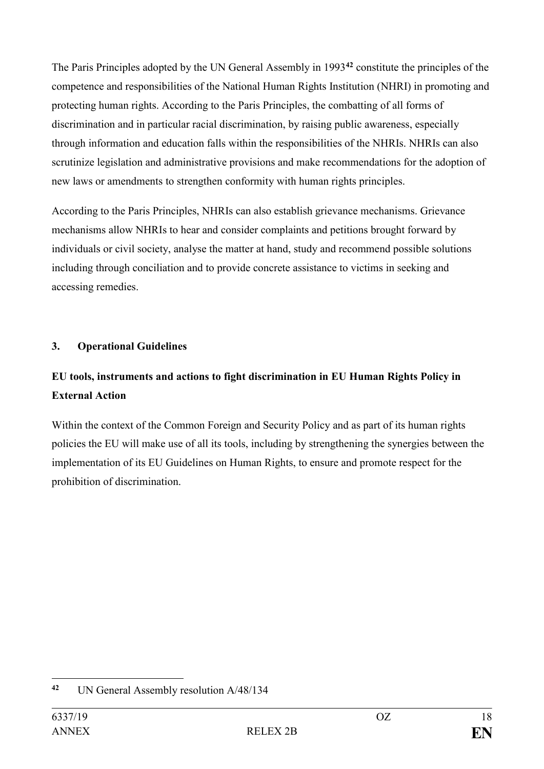The Paris Principles adopted by the UN General Assembly in 1993**<sup>42</sup>** constitute the principles of the competence and responsibilities of the National Human Rights Institution (NHRI) in promoting and protecting human rights. According to the Paris Principles, the combatting of all forms of discrimination and in particular racial discrimination, by raising public awareness, especially through information and education falls within the responsibilities of the NHRIs. NHRIs can also scrutinize legislation and administrative provisions and make recommendations for the adoption of new laws or amendments to strengthen conformity with human rights principles.

According to the Paris Principles, NHRIs can also establish grievance mechanisms. Grievance mechanisms allow NHRIs to hear and consider complaints and petitions brought forward by individuals or civil society, analyse the matter at hand, study and recommend possible solutions including through conciliation and to provide concrete assistance to victims in seeking and accessing remedies.

# <span id="page-17-0"></span>**3. Operational Guidelines**

# **EU tools, instruments and actions to fight discrimination in EU Human Rights Policy in External Action**

Within the context of the Common Foreign and Security Policy and as part of its human rights policies the EU will make use of all its tools, including by strengthening the synergies between the implementation of its EU Guidelines on Human Rights, to ensure and promote respect for the prohibition of discrimination.

<sup>1</sup> **<sup>42</sup>** UN General Assembly resolution A/48/134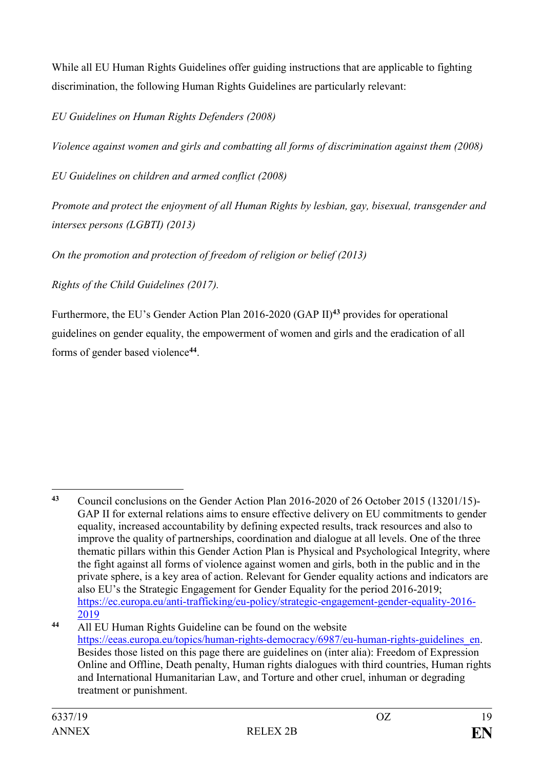While all EU Human Rights Guidelines offer guiding instructions that are applicable to fighting discrimination, the following Human Rights Guidelines are particularly relevant:

*EU Guidelines on Human Rights Defenders (2008)*

*Violence against women and girls and combatting all forms of discrimination against them (2008)* 

*EU Guidelines on children and armed conflict (2008)*

*Promote and protect the enjoyment of all Human Rights by lesbian, gay, bisexual, transgender and intersex persons (LGBTI) (2013)*

*On the promotion and protection of freedom of religion or belief (2013)*

*Rights of the Child Guidelines (2017).*

Furthermore, the EU's Gender Action Plan 2016-2020 (GAP II)**<sup>43</sup>** provides for operational guidelines on gender equality, the empowerment of women and girls and the eradication of all forms of gender based violence**<sup>44</sup>** .

<sup>1</sup> **<sup>43</sup>** Council conclusions on the Gender Action Plan 2016-2020 of 26 October 2015 (13201/15)- GAP II for external relations aims to ensure effective delivery on EU commitments to gender equality, increased accountability by defining expected results, track resources and also to improve the quality of partnerships, coordination and dialogue at all levels. One of the three thematic pillars within this Gender Action Plan is Physical and Psychological Integrity, where the fight against all forms of violence against women and girls, both in the public and in the private sphere, is a key area of action. Relevant for Gender equality actions and indicators are also EU's the Strategic Engagement for Gender Equality for the period 2016-2019; [https://ec.europa.eu/anti-trafficking/eu-policy/strategic-engagement-gender-equality-2016-](https://ec.europa.eu/anti-trafficking/eu-policy/strategic-engagement-gender-equality-2016-2019) [2019](https://ec.europa.eu/anti-trafficking/eu-policy/strategic-engagement-gender-equality-2016-2019)

**<sup>44</sup>** All EU Human Rights Guideline can be found on the website [https://eeas.europa.eu/topics/human-rights-democracy/6987/eu-human-rights-guidelines\\_en.](https://eeas.europa.eu/topics/human-rights-democracy/6987/eu-human-rights-guidelines_en) Besides those listed on this page there are guidelines on (inter alia): Freedom of Expression Online and Offline, Death penalty, Human rights dialogues with third countries, Human rights and International Humanitarian Law, and Torture and other cruel, inhuman or degrading treatment or punishment.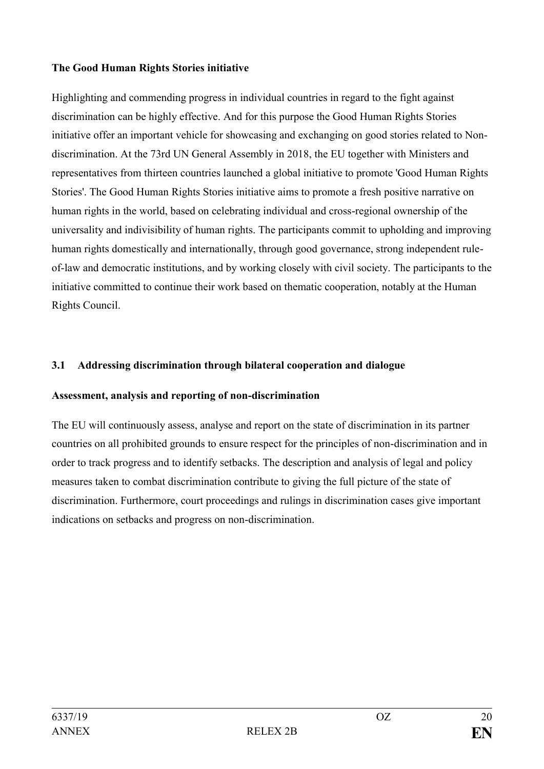#### **The Good Human Rights Stories initiative**

Highlighting and commending progress in individual countries in regard to the fight against discrimination can be highly effective. And for this purpose the Good Human Rights Stories initiative offer an important vehicle for showcasing and exchanging on good stories related to Nondiscrimination. At the 73rd UN General Assembly in 2018, the EU together with Ministers and representatives from thirteen countries launched a global initiative to promote 'Good Human Rights Stories'. The Good Human Rights Stories initiative aims to promote a fresh positive narrative on human rights in the world, based on celebrating individual and cross-regional ownership of the universality and indivisibility of human rights. The participants commit to upholding and improving human rights domestically and internationally, through good governance, strong independent ruleof-law and democratic institutions, and by working closely with civil society. The participants to the initiative committed to continue their work based on thematic cooperation, notably at the Human Rights Council.

# <span id="page-19-0"></span>**3.1 Addressing discrimination through bilateral cooperation and dialogue**

#### **Assessment, analysis and reporting of non-discrimination**

The EU will continuously assess, analyse and report on the state of discrimination in its partner countries on all prohibited grounds to ensure respect for the principles of non-discrimination and in order to track progress and to identify setbacks. The description and analysis of legal and policy measures taken to combat discrimination contribute to giving the full picture of the state of discrimination. Furthermore, court proceedings and rulings in discrimination cases give important indications on setbacks and progress on non-discrimination.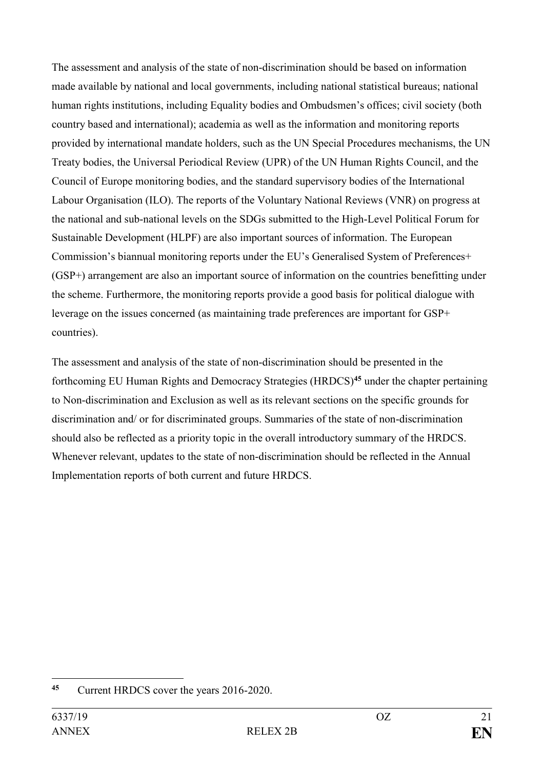The assessment and analysis of the state of non-discrimination should be based on information made available by national and local governments, including national statistical bureaus; national human rights institutions, including Equality bodies and Ombudsmen's offices; civil society (both country based and international); academia as well as the information and monitoring reports provided by international mandate holders, such as the UN Special Procedures mechanisms, the UN Treaty bodies, the Universal Periodical Review (UPR) of the UN Human Rights Council, and the Council of Europe monitoring bodies, and the standard supervisory bodies of the International Labour Organisation (ILO). The reports of the Voluntary National Reviews (VNR) on progress at the national and sub-national levels on the SDGs submitted to the High-Level Political Forum for Sustainable Development (HLPF) are also important sources of information. The European Commission's biannual monitoring reports under the EU's Generalised System of Preferences+ (GSP+) arrangement are also an important source of information on the countries benefitting under the scheme. Furthermore, the monitoring reports provide a good basis for political dialogue with leverage on the issues concerned (as maintaining trade preferences are important for GSP+ countries).

The assessment and analysis of the state of non-discrimination should be presented in the forthcoming EU Human Rights and Democracy Strategies (HRDCS)**<sup>45</sup>** under the chapter pertaining to Non-discrimination and Exclusion as well as its relevant sections on the specific grounds for discrimination and/ or for discriminated groups. Summaries of the state of non-discrimination should also be reflected as a priority topic in the overall introductory summary of the HRDCS. Whenever relevant, updates to the state of non-discrimination should be reflected in the Annual Implementation reports of both current and future HRDCS.

<sup>1</sup> **<sup>45</sup>** Current HRDCS cover the years 2016-2020.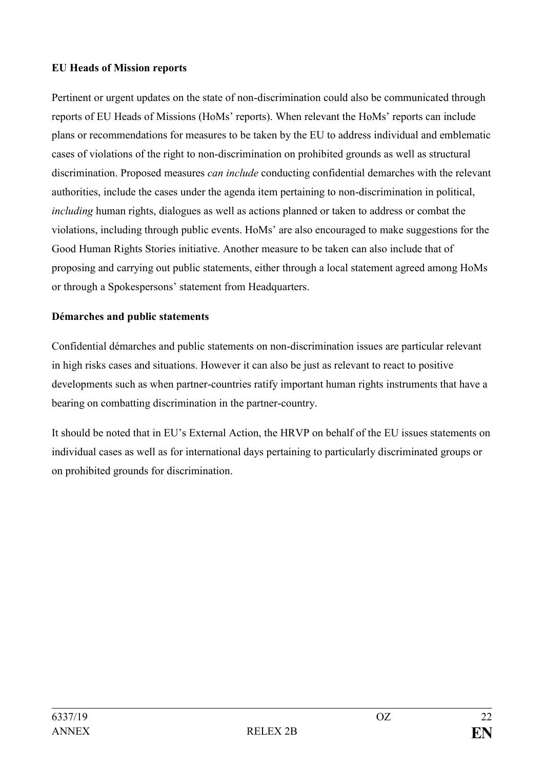#### **EU Heads of Mission reports**

Pertinent or urgent updates on the state of non-discrimination could also be communicated through reports of EU Heads of Missions (HoMs' reports). When relevant the HoMs' reports can include plans or recommendations for measures to be taken by the EU to address individual and emblematic cases of violations of the right to non-discrimination on prohibited grounds as well as structural discrimination. Proposed measures *can include* conducting confidential demarches with the relevant authorities, include the cases under the agenda item pertaining to non-discrimination in political, *including* human rights, dialogues as well as actions planned or taken to address or combat the violations, including through public events. HoMs' are also encouraged to make suggestions for the Good Human Rights Stories initiative. Another measure to be taken can also include that of proposing and carrying out public statements, either through a local statement agreed among HoMs or through a Spokespersons' statement from Headquarters.

#### **Démarches and public statements**

Confidential démarches and public statements on non-discrimination issues are particular relevant in high risks cases and situations. However it can also be just as relevant to react to positive developments such as when partner-countries ratify important human rights instruments that have a bearing on combatting discrimination in the partner-country.

It should be noted that in EU's External Action, the HRVP on behalf of the EU issues statements on individual cases as well as for international days pertaining to particularly discriminated groups or on prohibited grounds for discrimination.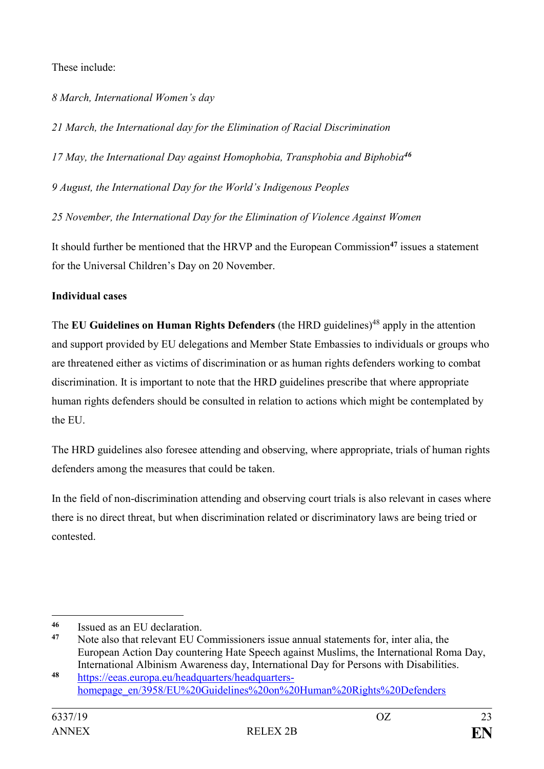These include:

*8 March, International Women's day*

*21 March, the International day for the Elimination of Racial Discrimination*

*17 May, the International Day against Homophobia, Transphobia and Biphobia<sup>46</sup>*

*9 August, the International Day for the World's Indigenous Peoples*

*25 November, the International Day for the Elimination of Violence Against Women*

It should further be mentioned that the HRVP and the European Commission**<sup>47</sup>** issues a statement for the Universal Children's Day on 20 November.

# **Individual cases**

The **EU Guidelines on Human Rights Defenders** (the HRD guidelines)<sup>48</sup> apply in the attention and support provided by EU delegations and Member State Embassies to individuals or groups who are threatened either as victims of discrimination or as human rights defenders working to combat discrimination. It is important to note that the HRD guidelines prescribe that where appropriate human rights defenders should be consulted in relation to actions which might be contemplated by the EU.

The HRD guidelines also foresee attending and observing, where appropriate, trials of human rights defenders among the measures that could be taken.

In the field of non-discrimination attending and observing court trials is also relevant in cases where there is no direct threat, but when discrimination related or discriminatory laws are being tried or contested.

1

<sup>&</sup>lt;sup>46</sup> Issued as an EU declaration.

**<sup>47</sup>** Note also that relevant EU Commissioners issue annual statements for, inter alia, the European Action Day countering Hate Speech against Muslims, the International Roma Day, International Albinism Awareness day, International Day for Persons with Disabilities.

**<sup>48</sup>** [https://eeas.europa.eu/headquarters/headquarters](https://eeas.europa.eu/headquarters/headquarters-homepage_en/3958/EU%20Guidelines%20on%20Human%20Rights%20Defenders)[homepage\\_en/3958/EU%20Guidelines%20on%20Human%20Rights%20Defenders](https://eeas.europa.eu/headquarters/headquarters-homepage_en/3958/EU%20Guidelines%20on%20Human%20Rights%20Defenders)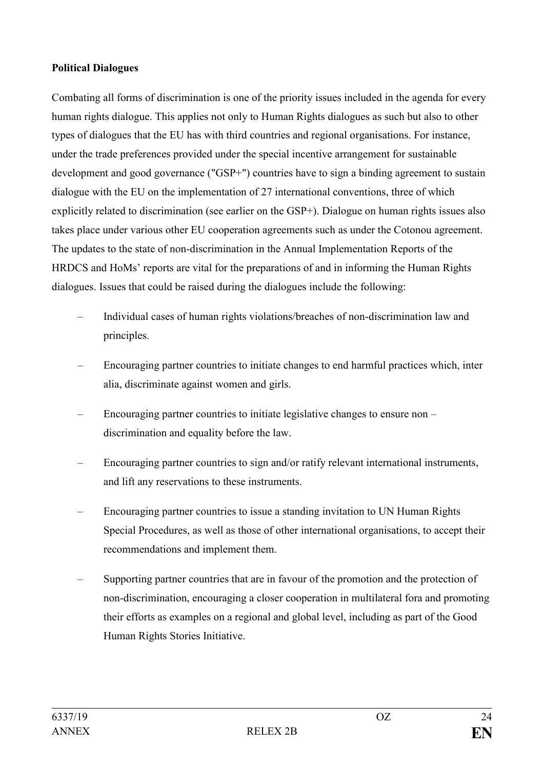#### **Political Dialogues**

Combating all forms of discrimination is one of the priority issues included in the agenda for every human rights dialogue. This applies not only to Human Rights dialogues as such but also to other types of dialogues that the EU has with third countries and regional organisations. For instance, under the trade preferences provided under the special incentive arrangement for sustainable development and good governance ("GSP+") countries have to sign a binding agreement to sustain dialogue with the EU on the implementation of 27 international conventions, three of which explicitly related to discrimination (see earlier on the GSP+). Dialogue on human rights issues also takes place under various other EU cooperation agreements such as under the Cotonou agreement. The updates to the state of non-discrimination in the Annual Implementation Reports of the HRDCS and HoMs' reports are vital for the preparations of and in informing the Human Rights dialogues. Issues that could be raised during the dialogues include the following:

- Individual cases of human rights violations/breaches of non-discrimination law and principles.
- Encouraging partner countries to initiate changes to end harmful practices which, inter alia, discriminate against women and girls.
- Encouraging partner countries to initiate legislative changes to ensure non discrimination and equality before the law.
- Encouraging partner countries to sign and/or ratify relevant international instruments, and lift any reservations to these instruments.
- Encouraging partner countries to issue a standing invitation to UN Human Rights Special Procedures, as well as those of other international organisations, to accept their recommendations and implement them.
- Supporting partner countries that are in favour of the promotion and the protection of non-discrimination, encouraging a closer cooperation in multilateral fora and promoting their efforts as examples on a regional and global level, including as part of the Good Human Rights Stories Initiative.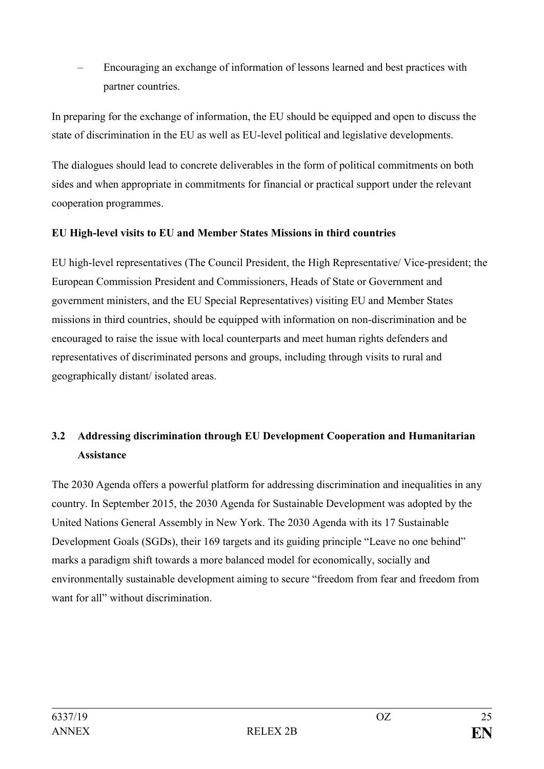– Encouraging an exchange of information of lessons learned and best practices with partner countries.

In preparing for the exchange of information, the EU should be equipped and open to discuss the state of discrimination in the EU as well as EU-level political and legislative developments.

The dialogues should lead to concrete deliverables in the form of political commitments on both sides and when appropriate in commitments for financial or practical support under the relevant cooperation programmes.

# **EU High-level visits to EU and Member States Missions in third countries**

EU high-level representatives (The Council President, the High Representative/ Vice-president; the European Commission President and Commissioners, Heads of State or Government and government ministers, and the EU Special Representatives) visiting EU and Member States missions in third countries, should be equipped with information on non-discrimination and be encouraged to raise the issue with local counterparts and meet human rights defenders and representatives of discriminated persons and groups, including through visits to rural and geographically distant/ isolated areas.

# <span id="page-24-0"></span>**3.2 Addressing discrimination through EU Development Cooperation and Humanitarian Assistance**

The 2030 Agenda offers a powerful platform for addressing discrimination and inequalities in any country. In September 2015, the 2030 Agenda for Sustainable Development was adopted by the United Nations General Assembly in New York. The 2030 Agenda with its 17 Sustainable Development Goals (SGDs), their 169 targets and its guiding principle "Leave no one behind" marks a paradigm shift towards a more balanced model for economically, socially and environmentally sustainable development aiming to secure "freedom from fear and freedom from want for all" without discrimination.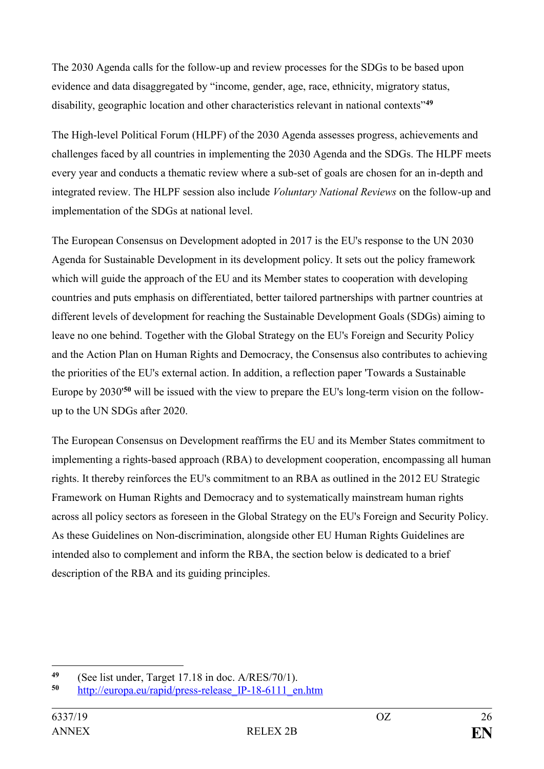The 2030 Agenda calls for the follow-up and review processes for the SDGs to be based upon evidence and data disaggregated by "income, gender, age, race, ethnicity, migratory status, disability, geographic location and other characteristics relevant in national contexts"**<sup>49</sup>**

The High-level Political Forum (HLPF) of the 2030 Agenda assesses progress, achievements and challenges faced by all countries in implementing the 2030 Agenda and the SDGs. The HLPF meets every year and conducts a thematic review where a sub-set of goals are chosen for an in-depth and integrated review. The HLPF session also include *Voluntary National Reviews* on the follow-up and implementation of the SDGs at national level.

The European Consensus on Development adopted in 2017 is the EU's response to the UN 2030 Agenda for Sustainable Development in its development policy. It sets out the policy framework which will guide the approach of the EU and its Member states to cooperation with developing countries and puts emphasis on differentiated, better tailored partnerships with partner countries at different levels of development for reaching the Sustainable Development Goals (SDGs) aiming to leave no one behind. Together with the Global Strategy on the EU's Foreign and Security Policy and the Action Plan on Human Rights and Democracy, the Consensus also contributes to achieving the priorities of the EU's external action. In addition, a reflection paper 'Towards a Sustainable Europe by 2030'**<sup>50</sup>** will be issued with the view to prepare the EU's long-term vision on the followup to the UN SDGs after 2020.

The European Consensus on Development reaffirms the EU and its Member States commitment to implementing a rights-based approach (RBA) to development cooperation, encompassing all human rights. It thereby reinforces the EU's commitment to an RBA as outlined in the 2012 EU Strategic Framework on Human Rights and Democracy and to systematically mainstream human rights across all policy sectors as foreseen in the Global Strategy on the EU's Foreign and Security Policy. As these Guidelines on Non-discrimination, alongside other EU Human Rights Guidelines are intended also to complement and inform the RBA, the section below is dedicated to a brief description of the RBA and its guiding principles.

<sup>49</sup> 49 (See list under, Target 17.18 in doc.  $A/RES/70/1$ ).<br>50 **http://gurons.gu/rapid/press.release.** In 18, 6111, and

**<sup>50</sup>** [http://europa.eu/rapid/press-release\\_IP-18-6111\\_en.htm](http://europa.eu/rapid/press-release_IP-18-6111_en.htm)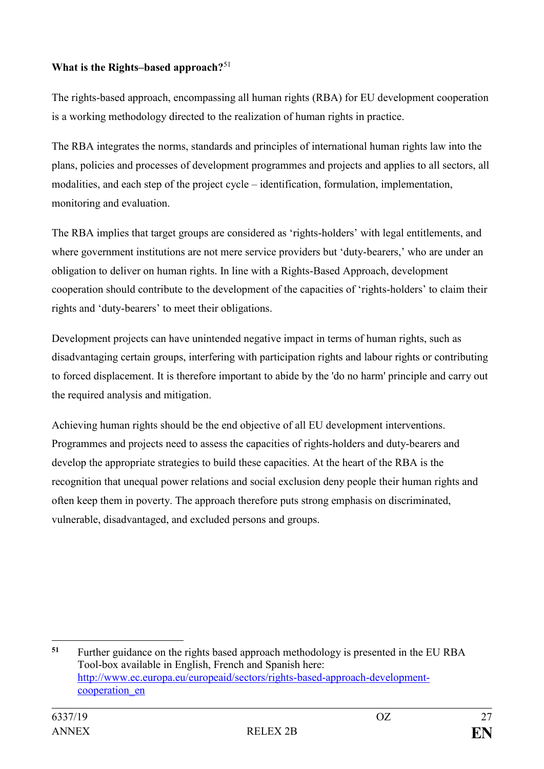# **What is the Rights–based approach?**<sup>51</sup>

The rights-based approach, encompassing all human rights (RBA) for EU development cooperation is a working methodology directed to the realization of human rights in practice.

The RBA integrates the norms, standards and principles of international human rights law into the plans, policies and processes of development programmes and projects and applies to all sectors, all modalities, and each step of the project cycle – identification, formulation, implementation, monitoring and evaluation.

The RBA implies that target groups are considered as 'rights-holders' with legal entitlements, and where government institutions are not mere service providers but 'duty-bearers,' who are under an obligation to deliver on human rights. In line with a Rights-Based Approach, development cooperation should contribute to the development of the capacities of 'rights-holders' to claim their rights and 'duty-bearers' to meet their obligations.

Development projects can have unintended negative impact in terms of human rights, such as disadvantaging certain groups, interfering with participation rights and labour rights or contributing to forced displacement. It is therefore important to abide by the 'do no harm' principle and carry out the required analysis and mitigation.

Achieving human rights should be the end objective of all EU development interventions. Programmes and projects need to assess the capacities of rights-holders and duty-bearers and develop the appropriate strategies to build these capacities. At the heart of the RBA is the recognition that unequal power relations and social exclusion deny people their human rights and often keep them in poverty. The approach therefore puts strong emphasis on discriminated, vulnerable, disadvantaged, and excluded persons and groups.

<u>.</u> **<sup>51</sup>** Further guidance on the rights based approach methodology is presented in the EU RBA Tool-box available in English, French and Spanish here: [http://www.ec.europa.eu/europeaid/sectors/rights-based-approach-development](http://www.ec.europa.eu/europeaid/sectors/rights-based-approach-development-cooperation_en)[cooperation\\_en](http://www.ec.europa.eu/europeaid/sectors/rights-based-approach-development-cooperation_en)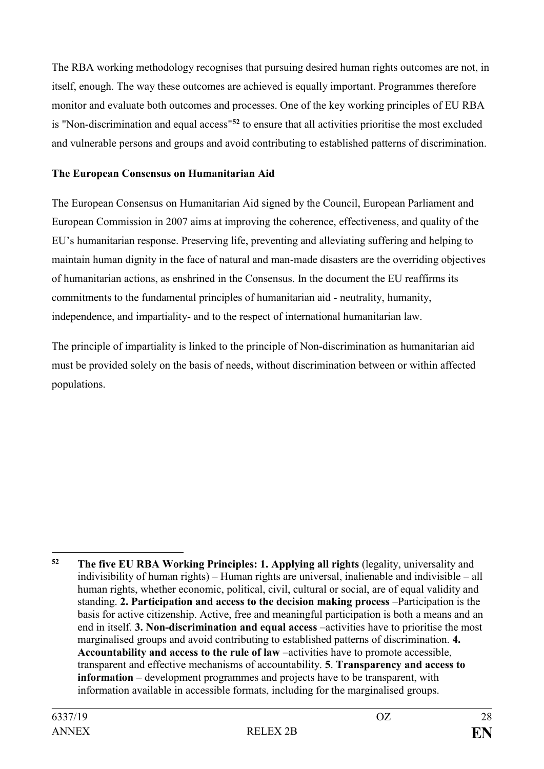The RBA working methodology recognises that pursuing desired human rights outcomes are not, in itself, enough. The way these outcomes are achieved is equally important. Programmes therefore monitor and evaluate both outcomes and processes. One of the key working principles of EU RBA is "Non-discrimination and equal access"**<sup>52</sup>** to ensure that all activities prioritise the most excluded and vulnerable persons and groups and avoid contributing to established patterns of discrimination.

### **The European Consensus on Humanitarian Aid**

The European Consensus on Humanitarian Aid signed by the Council, European Parliament and European Commission in 2007 aims at improving the coherence, effectiveness, and quality of the EU's humanitarian response. Preserving life, preventing and alleviating suffering and helping to maintain human dignity in the face of natural and man-made disasters are the overriding objectives of humanitarian actions, as enshrined in the Consensus. In the document the EU reaffirms its commitments to the fundamental principles of humanitarian aid - neutrality, humanity, independence, and impartiality- and to the respect of international humanitarian law.

<span id="page-27-0"></span>The principle of impartiality is linked to the principle of Non-discrimination as humanitarian aid must be provided solely on the basis of needs, without discrimination between or within affected populations.

<u>.</u>

**<sup>52</sup> The five EU RBA Working Principles: 1. Applying all rights** (legality, universality and indivisibility of human rights) – Human rights are universal, inalienable and indivisible – all human rights, whether economic, political, civil, cultural or social, are of equal validity and standing. **2. Participation and access to the decision making process** –Participation is the basis for active citizenship. Active, free and meaningful participation is both a means and an end in itself. **3. Non-discrimination and equal access** –activities have to prioritise the most marginalised groups and avoid contributing to established patterns of discrimination. **4. Accountability and access to the rule of law** –activities have to promote accessible, transparent and effective mechanisms of accountability. **5**. **Transparency and access to information** – development programmes and projects have to be transparent, with information available in accessible formats, including for the marginalised groups.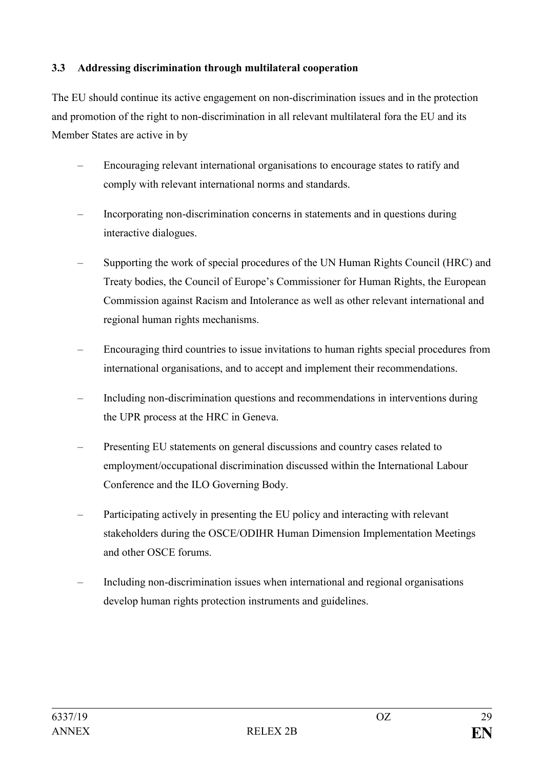# **3.3 Addressing discrimination through multilateral cooperation**

The EU should continue its active engagement on non-discrimination issues and in the protection and promotion of the right to non-discrimination in all relevant multilateral fora the EU and its Member States are active in by

- Encouraging relevant international organisations to encourage states to ratify and comply with relevant international norms and standards.
- Incorporating non-discrimination concerns in statements and in questions during interactive dialogues.
- Supporting the work of special procedures of the UN Human Rights Council (HRC) and Treaty bodies, the Council of Europe's Commissioner for Human Rights, the European Commission against Racism and Intolerance as well as other relevant international and regional human rights mechanisms.
- Encouraging third countries to issue invitations to human rights special procedures from international organisations, and to accept and implement their recommendations.
- Including non-discrimination questions and recommendations in interventions during the UPR process at the HRC in Geneva.
- Presenting EU statements on general discussions and country cases related to employment/occupational discrimination discussed within the International Labour Conference and the ILO Governing Body.
- Participating actively in presenting the EU policy and interacting with relevant stakeholders during the OSCE/ODIHR Human Dimension Implementation Meetings and other OSCE forums.
- Including non-discrimination issues when international and regional organisations develop human rights protection instruments and guidelines.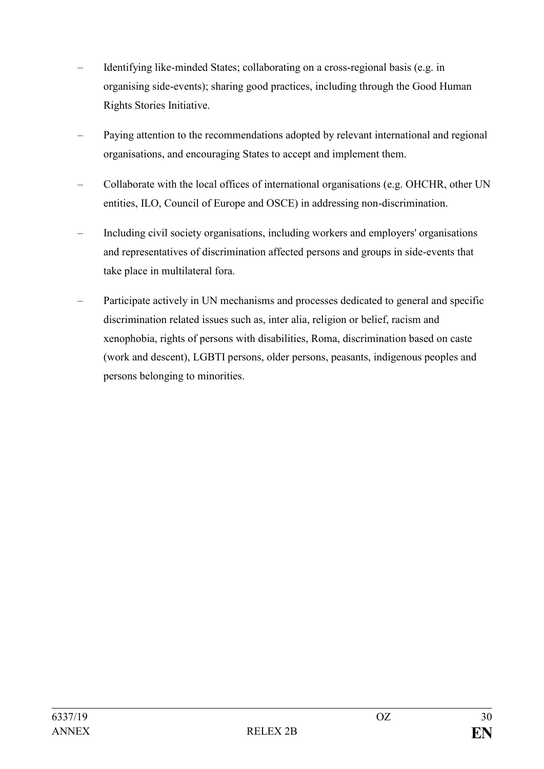- Identifying like-minded States; collaborating on a cross-regional basis (e.g. in organising side-events); sharing good practices, including through the Good Human Rights Stories Initiative.
- Paying attention to the recommendations adopted by relevant international and regional organisations, and encouraging States to accept and implement them.
- Collaborate with the local offices of international organisations (e.g. OHCHR, other UN entities, ILO, Council of Europe and OSCE) in addressing non-discrimination.
- Including civil society organisations, including workers and employers' organisations and representatives of discrimination affected persons and groups in side-events that take place in multilateral fora.
- <span id="page-29-0"></span>– Participate actively in UN mechanisms and processes dedicated to general and specific discrimination related issues such as, inter alia, religion or belief, racism and xenophobia, rights of persons with disabilities, Roma, discrimination based on caste (work and descent), LGBTI persons, older persons, peasants, indigenous peoples and persons belonging to minorities.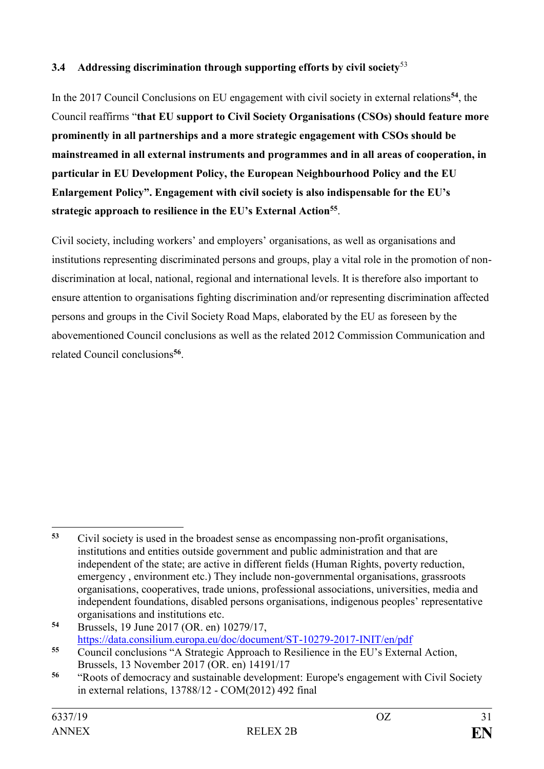# **3.4 Addressing discrimination through supporting efforts by civil society**<sup>53</sup>

In the 2017 Council Conclusions on EU engagement with civil society in external relations**<sup>54</sup>**, the Council reaffirms "**that EU support to Civil Society Organisations (CSOs) should feature more prominently in all partnerships and a more strategic engagement with CSOs should be mainstreamed in all external instruments and programmes and in all areas of cooperation, in particular in EU Development Policy, the European Neighbourhood Policy and the EU Enlargement Policy". Engagement with civil society is also indispensable for the EU's strategic approach to resilience in the EU's External Action<sup>55</sup>** .

Civil society, including workers' and employers' organisations, as well as organisations and institutions representing discriminated persons and groups, play a vital role in the promotion of nondiscrimination at local, national, regional and international levels. It is therefore also important to ensure attention to organisations fighting discrimination and/or representing discrimination affected persons and groups in the Civil Society Road Maps, elaborated by the EU as foreseen by the abovementioned Council conclusions as well as the related 2012 Commission Communication and related Council conclusions**<sup>56</sup>** .

<sup>1</sup> **<sup>53</sup>** Civil society is used in the broadest sense as encompassing non-profit organisations, institutions and entities outside government and public administration and that are independent of the state; are active in different fields (Human Rights, poverty reduction, emergency , environment etc.) They include non-governmental organisations, grassroots organisations, cooperatives, trade unions, professional associations, universities, media and independent foundations, disabled persons organisations, indigenous peoples' representative organisations and institutions etc.

**<sup>54</sup>** Brussels, 19 June 2017 (OR. en) 10279/17, <https://data.consilium.europa.eu/doc/document/ST-10279-2017-INIT/en/pdf>

**<sup>55</sup>** Council conclusions "A Strategic Approach to Resilience in the EU's External Action, Brussels, 13 November 2017 (OR. en) 14191/17

**<sup>56</sup>** "Roots of democracy and sustainable development: Europe's engagement with Civil Society in external relations, 13788/12 - COM(2012) 492 final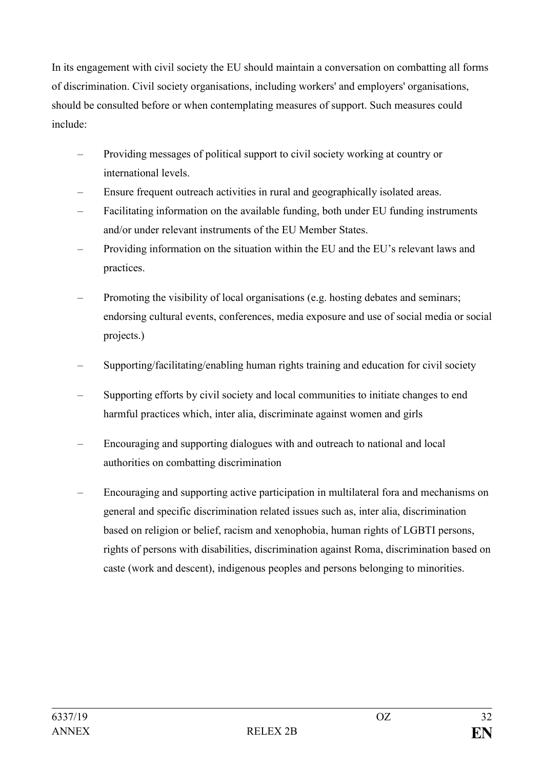In its engagement with civil society the EU should maintain a conversation on combatting all forms of discrimination. Civil society organisations, including workers' and employers' organisations, should be consulted before or when contemplating measures of support. Such measures could include:

- Providing messages of political support to civil society working at country or international levels.
- Ensure frequent outreach activities in rural and geographically isolated areas.
- Facilitating information on the available funding, both under EU funding instruments and/or under relevant instruments of the EU Member States.
- Providing information on the situation within the EU and the EU's relevant laws and practices.
- Promoting the visibility of local organisations (e.g. hosting debates and seminars; endorsing cultural events, conferences, media exposure and use of social media or social projects.)
- Supporting/facilitating/enabling human rights training and education for civil society
- Supporting efforts by civil society and local communities to initiate changes to end harmful practices which, inter alia, discriminate against women and girls
- Encouraging and supporting dialogues with and outreach to national and local authorities on combatting discrimination
- Encouraging and supporting active participation in multilateral fora and mechanisms on general and specific discrimination related issues such as, inter alia, discrimination based on religion or belief, racism and xenophobia, human rights of LGBTI persons, rights of persons with disabilities, discrimination against Roma, discrimination based on caste (work and descent), indigenous peoples and persons belonging to minorities.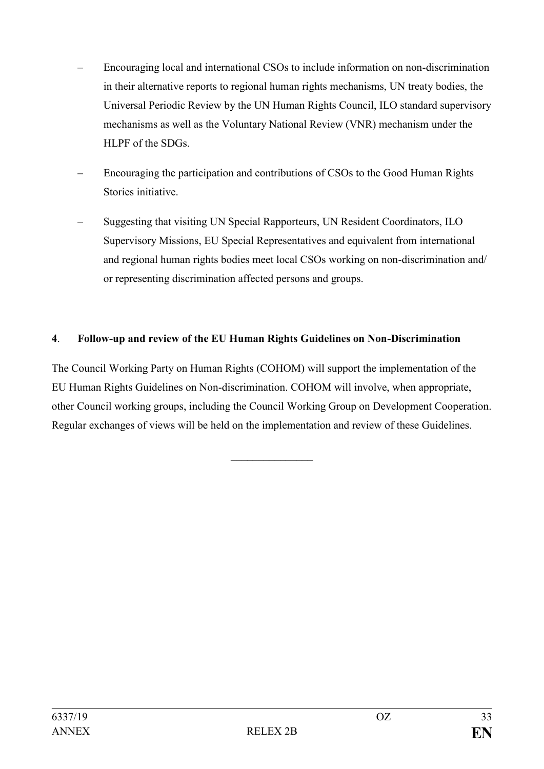- Encouraging local and international CSOs to include information on non-discrimination in their alternative reports to regional human rights mechanisms, UN treaty bodies, the Universal Periodic Review by the UN Human Rights Council, ILO standard supervisory mechanisms as well as the Voluntary National Review (VNR) mechanism under the HLPF of the SDGs.
- **–** Encouraging the participation and contributions of CSOs to the Good Human Rights Stories initiative.
- Suggesting that visiting UN Special Rapporteurs, UN Resident Coordinators, ILO Supervisory Missions, EU Special Representatives and equivalent from international and regional human rights bodies meet local CSOs working on non-discrimination and/ or representing discrimination affected persons and groups.

# <span id="page-32-0"></span>**4**. **Follow-up and review of the EU Human Rights Guidelines on Non-Discrimination**

The Council Working Party on Human Rights (COHOM) will support the implementation of the EU Human Rights Guidelines on Non-discrimination. COHOM will involve, when appropriate, other Council working groups, including the Council Working Group on Development Cooperation. Regular exchanges of views will be held on the implementation and review of these Guidelines.

 $\frac{1}{2}$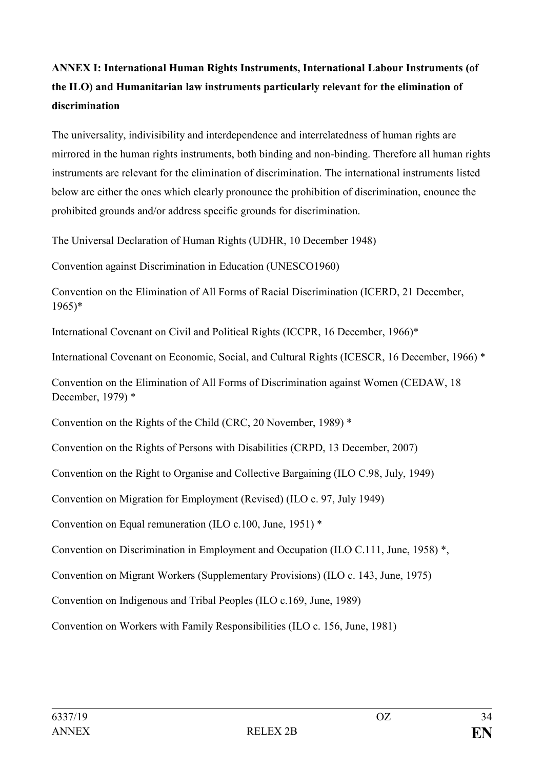# <span id="page-33-0"></span>**ANNEX I: International Human Rights Instruments, International Labour Instruments (of the ILO) and Humanitarian law instruments particularly relevant for the elimination of discrimination**

The universality, indivisibility and interdependence and interrelatedness of human rights are mirrored in the human rights instruments, both binding and non-binding. Therefore all human rights instruments are relevant for the elimination of discrimination. The international instruments listed below are either the ones which clearly pronounce the prohibition of discrimination, enounce the prohibited grounds and/or address specific grounds for discrimination.

The Universal Declaration of Human Rights (UDHR, 10 December 1948)

Convention against Discrimination in Education (UNESCO1960)

Convention on the Elimination of All Forms of Racial Discrimination (ICERD, 21 December, 1965)\*

International Covenant on Civil and Political Rights (ICCPR, 16 December, 1966)\*

International Covenant on Economic, Social, and Cultural Rights (ICESCR, 16 December, 1966) \*

Convention on the Elimination of All Forms of Discrimination against Women (CEDAW, 18 December, 1979) \*

Convention on the Rights of the Child (CRC, 20 November, 1989) \*

Convention on the Rights of Persons with Disabilities (CRPD, 13 December, 2007)

Convention on the Right to Organise and Collective Bargaining (ILO C.98, July, 1949)

Convention on Migration for Employment (Revised) (ILO c. 97, July 1949)

Convention on Equal remuneration (ILO c.100, June, 1951) \*

Convention on Discrimination in Employment and Occupation (ILO C.111, June, 1958) \*,

Convention on Migrant Workers (Supplementary Provisions) (ILO c. 143, June, 1975)

Convention on Indigenous and Tribal Peoples (ILO c.169, June, 1989)

Convention on Workers with Family Responsibilities (ILO c. 156, June, 1981)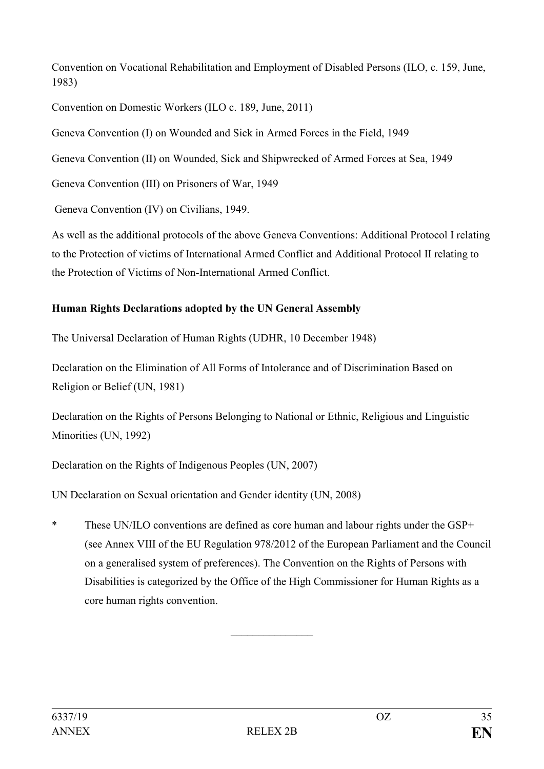Convention on Vocational Rehabilitation and Employment of Disabled Persons (ILO, c. 159, June, 1983)

Convention on Domestic Workers (ILO c. 189, June, 2011)

Geneva Convention (I) on Wounded and Sick in Armed Forces in the Field, 1949

Geneva Convention (II) on Wounded, Sick and Shipwrecked of Armed Forces at Sea, 1949

Geneva Convention (III) on Prisoners of War, 1949

Geneva Convention (IV) on Civilians, 1949.

As well as the additional protocols of the above Geneva Conventions: Additional Protocol I relating to the Protection of victims of International Armed Conflict and Additional Protocol II relating to the Protection of Victims of Non-International Armed Conflict.

# **Human Rights Declarations adopted by the UN General Assembly**

The Universal Declaration of Human Rights (UDHR, 10 December 1948)

Declaration on the Elimination of All Forms of Intolerance and of Discrimination Based on Religion or Belief (UN, 1981)

Declaration on the Rights of Persons Belonging to National or Ethnic, Religious and Linguistic Minorities (UN, 1992)

Declaration on the Rights of Indigenous Peoples (UN, 2007)

UN Declaration on Sexual orientation and Gender identity (UN, 2008)

\* These UN/ILO conventions are defined as core human and labour rights under the GSP+ (see Annex VIII of the EU Regulation 978/2012 of the European Parliament and the Council on a generalised system of preferences). The Convention on the Rights of Persons with Disabilities is categorized by the Office of the High Commissioner for Human Rights as a core human rights convention.

 $\frac{1}{2}$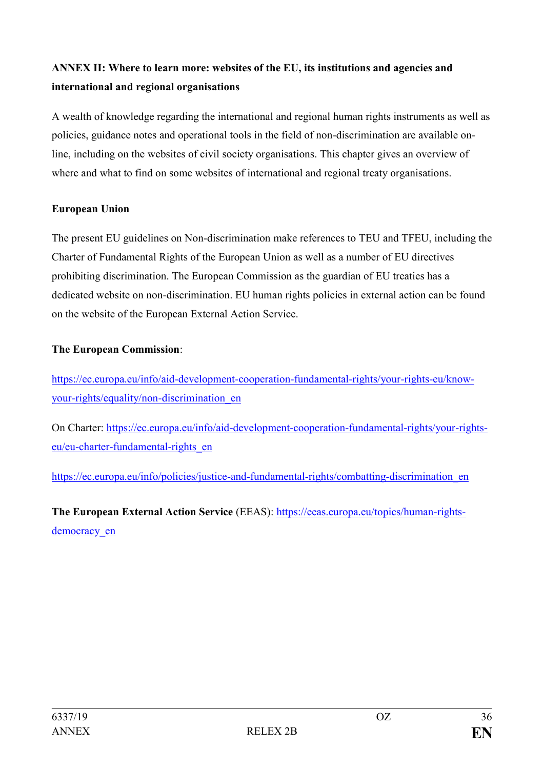# <span id="page-35-0"></span>**ANNEX II: Where to learn more: websites of the EU, its institutions and agencies and international and regional organisations**

A wealth of knowledge regarding the international and regional human rights instruments as well as policies, guidance notes and operational tools in the field of non-discrimination are available online, including on the websites of civil society organisations. This chapter gives an overview of where and what to find on some websites of international and regional treaty organisations.

# **European Union**

The present EU guidelines on Non-discrimination make references to TEU and TFEU, including the Charter of Fundamental Rights of the European Union as well as a number of EU directives prohibiting discrimination. The European Commission as the guardian of EU treaties has a dedicated website on non-discrimination. EU human rights policies in external action can be found on the website of the European External Action Service.

# **The European Commission**:

[https://ec.europa.eu/info/aid-development-cooperation-fundamental-rights/your-rights-eu/know](https://ec.europa.eu/info/aid-development-cooperation-fundamental-rights/your-rights-eu/know-your-rights/equality/non-discrimination_en)[your-rights/equality/non-discrimination\\_en](https://ec.europa.eu/info/aid-development-cooperation-fundamental-rights/your-rights-eu/know-your-rights/equality/non-discrimination_en)

On Charter: [https://ec.europa.eu/info/aid-development-cooperation-fundamental-rights/your-rights](https://ec.europa.eu/info/aid-development-cooperation-fundamental-rights/your-rights-eu/eu-charter-fundamental-rights_en)[eu/eu-charter-fundamental-rights\\_en](https://ec.europa.eu/info/aid-development-cooperation-fundamental-rights/your-rights-eu/eu-charter-fundamental-rights_en)

[https://ec.europa.eu/info/policies/justice-and-fundamental-rights/combatting-discrimination\\_en](https://ec.europa.eu/info/policies/justice-and-fundamental-rights/combatting-discrimination_en)

**The European External Action Service** (EEAS): [https://eeas.europa.eu/topics/human-rights](https://eeas.europa.eu/topics/human-rights-democracy_en)democracy en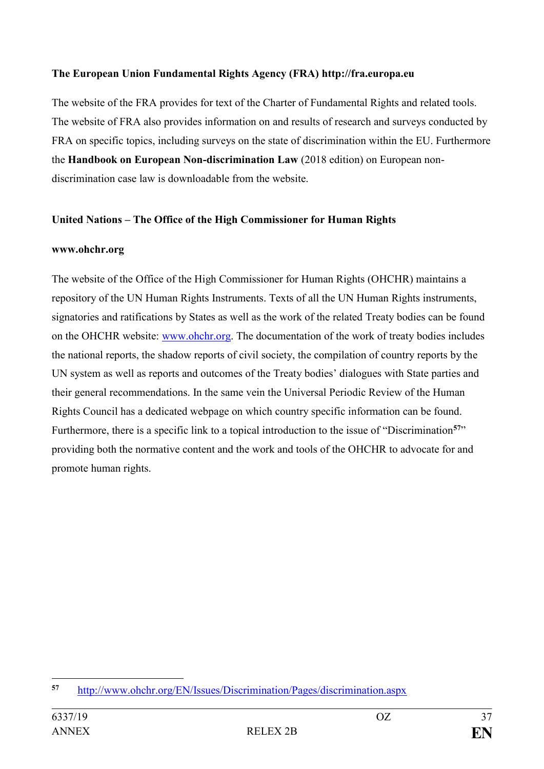# **The European Union Fundamental Rights Agency (FRA) http://fra.europa.eu**

The website of the FRA provides for text of the Charter of Fundamental Rights and related tools. The website of FRA also provides information on and results of research and surveys conducted by FRA on specific topics, including surveys on the state of discrimination within the EU. Furthermore the **Handbook on European Non-discrimination Law** (2018 edition) on European nondiscrimination case law is downloadable from the website.

# **United Nations – The Office of the High Commissioner for Human Rights**

#### **www.ohchr.org**

The website of the Office of the High Commissioner for Human Rights (OHCHR) maintains a repository of the UN Human Rights Instruments. Texts of all the UN Human Rights instruments, signatories and ratifications by States as well as the work of the related Treaty bodies can be found on the OHCHR website: [www.ohchr.org.](http://www.ohchr.org/) The documentation of the work of treaty bodies includes the national reports, the shadow reports of civil society, the compilation of country reports by the UN system as well as reports and outcomes of the Treaty bodies' dialogues with State parties and their general recommendations. In the same vein the Universal Periodic Review of the Human Rights Council has a dedicated webpage on which country specific information can be found. Furthermore, there is a specific link to a topical introduction to the issue of "Discrimination**<sup>57</sup>**" providing both the normative content and the work and tools of the OHCHR to advocate for and promote human rights.

<sup>1</sup> **<sup>57</sup>** <http://www.ohchr.org/EN/Issues/Discrimination/Pages/discrimination.aspx>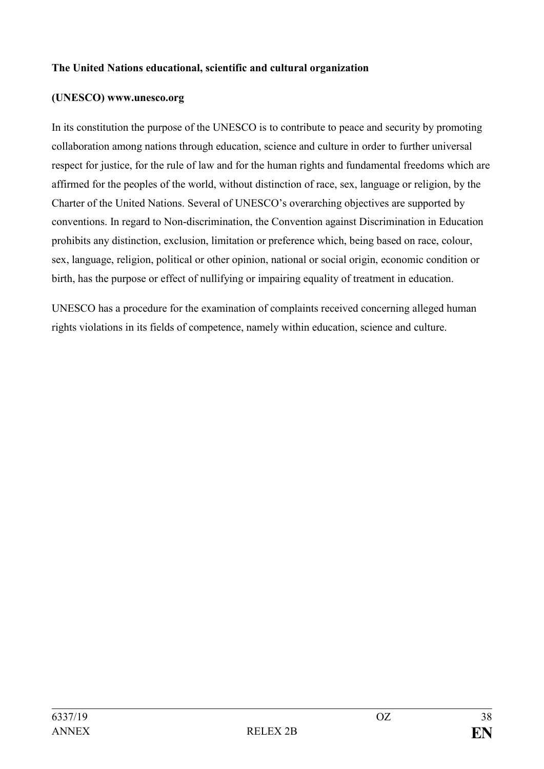#### **The United Nations educational, scientific and cultural organization**

#### **(UNESCO) www.unesco.org**

In its constitution the purpose of the UNESCO is to contribute to peace and security by promoting collaboration among nations through education, science and culture in order to further universal respect for justice, for the rule of law and for the human rights and fundamental freedoms which are affirmed for the peoples of the world, without distinction of race, sex, language or religion, by the Charter of the United Nations. Several of UNESCO's overarching objectives are supported by conventions. In regard to Non-discrimination, the Convention against Discrimination in Education prohibits any distinction, exclusion, limitation or preference which, being based on race, colour, sex, language, religion, political or other opinion, national or social origin, economic condition or birth, has the purpose or effect of nullifying or impairing equality of treatment in education.

UNESCO has a procedure for the examination of complaints received concerning alleged human rights violations in its fields of competence, namely within education, science and culture.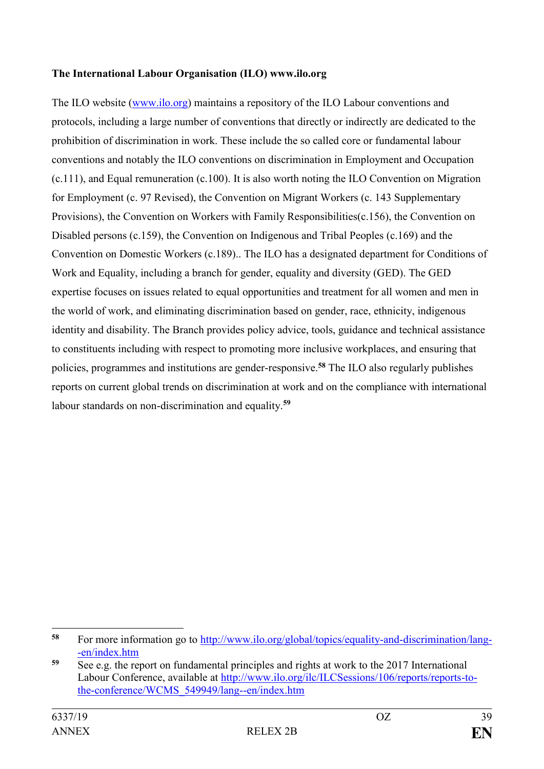### **The International Labour Organisation (ILO) www.ilo.org**

The ILO website [\(www.ilo.org\)](http://www.ilo.org/) maintains a repository of the ILO Labour conventions and protocols, including a large number of conventions that directly or indirectly are dedicated to the prohibition of discrimination in work. These include the so called core or fundamental labour conventions and notably the ILO conventions on discrimination in Employment and Occupation (c.111), and Equal remuneration (c.100). It is also worth noting the ILO Convention on Migration for Employment (c. 97 Revised), the Convention on Migrant Workers (c. 143 Supplementary Provisions), the Convention on Workers with Family Responsibilities(c.156), the Convention on Disabled persons (c.159), the Convention on Indigenous and Tribal Peoples (c.169) and the Convention on Domestic Workers (c.189).. The ILO has a designated department for Conditions of Work and Equality, including a branch for gender, equality and diversity (GED). The GED expertise focuses on issues related to equal opportunities and treatment for all women and men in the world of work, and eliminating discrimination based on gender, race, ethnicity, indigenous identity and disability. The Branch provides policy advice, tools, guidance and technical assistance to constituents including with respect to promoting more inclusive workplaces, and ensuring that policies, programmes and institutions are gender-responsive.**<sup>58</sup>** The ILO also regularly publishes reports on current global trends on discrimination at work and on the compliance with international labour standards on non-discrimination and equality.**<sup>59</sup>**

1

**<sup>58</sup>** For more information go to [http://www.ilo.org/global/topics/equality-and-discrimination/lang-](http://www.ilo.org/global/topics/equality-and-discrimination/lang--en/index.htm) [-en/index.htm](http://www.ilo.org/global/topics/equality-and-discrimination/lang--en/index.htm)

**<sup>59</sup>** See e.g. the report on fundamental principles and rights at work to the 2017 International Labour Conference, available at [http://www.ilo.org/ilc/ILCSessions/106/reports/reports-to](http://www.ilo.org/ilc/ILCSessions/106/reports/reports-to-the-conference/WCMS_549949/lang--en/index.htm)[the-conference/WCMS\\_549949/lang--en/index.htm](http://www.ilo.org/ilc/ILCSessions/106/reports/reports-to-the-conference/WCMS_549949/lang--en/index.htm)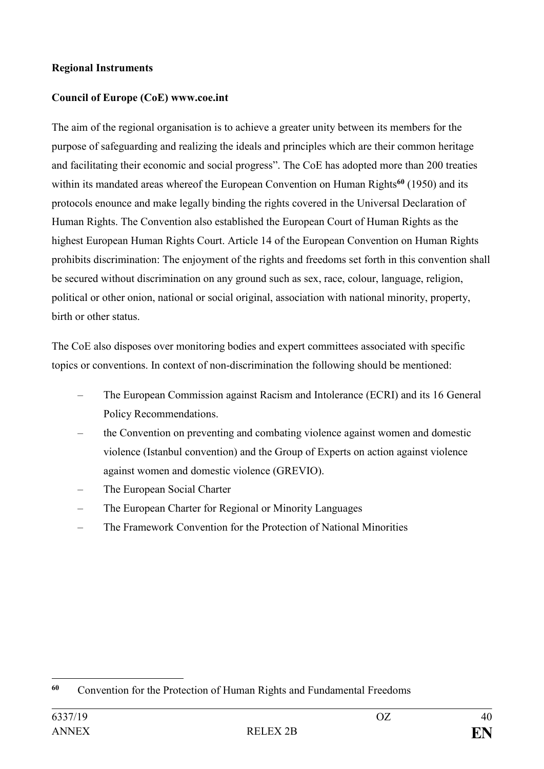# **Regional Instruments**

# **Council of Europe (CoE) www.coe.int**

The aim of the regional organisation is to achieve a greater unity between its members for the purpose of safeguarding and realizing the ideals and principles which are their common heritage and facilitating their economic and social progress". The CoE has adopted more than 200 treaties within its mandated areas whereof the European Convention on Human Rights<sup>60</sup> (1950) and its protocols enounce and make legally binding the rights covered in the Universal Declaration of Human Rights. The Convention also established the European Court of Human Rights as the highest European Human Rights Court. Article 14 of the European Convention on Human Rights prohibits discrimination: The enjoyment of the rights and freedoms set forth in this convention shall be secured without discrimination on any ground such as sex, race, colour, language, religion, political or other onion, national or social original, association with national minority, property, birth or other status.

The CoE also disposes over monitoring bodies and expert committees associated with specific topics or conventions. In context of non-discrimination the following should be mentioned:

- The European Commission against Racism and Intolerance (ECRI) and its 16 General Policy Recommendations.
- the Convention on preventing and combating violence against women and domestic violence (Istanbul convention) and the Group of Experts on action against violence against women and domestic violence (GREVIO).
- The European Social Charter
- The European Charter for Regional or Minority Languages
- The Framework Convention for the Protection of National Minorities

<sup>1</sup> **<sup>60</sup>** Convention for the Protection of Human Rights and Fundamental Freedoms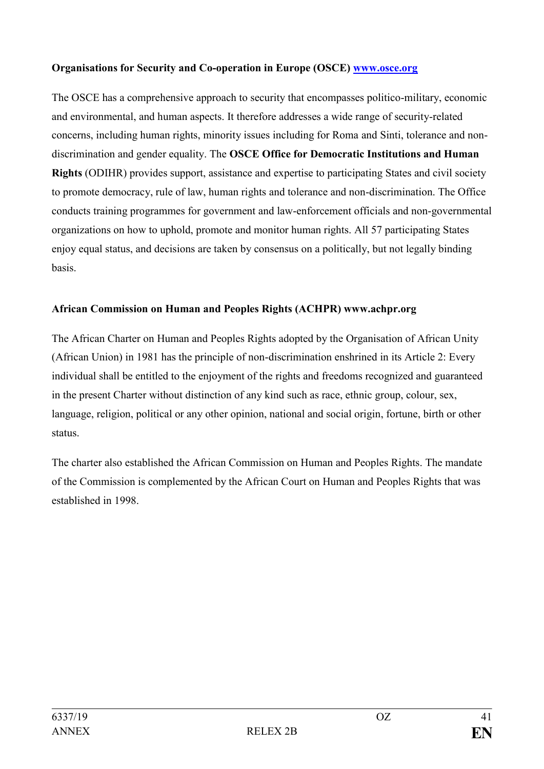# **Organisations for Security and Co-operation in Europe (OSCE) [www.osce.org](http://www.osce.org/)**

The OSCE has a comprehensive approach to security that encompasses politico-military, economic and environmental, and human aspects. It therefore addresses a wide range of security-related concerns, including human rights, minority issues including for Roma and Sinti, tolerance and nondiscrimination and gender equality. The **OSCE Office for Democratic Institutions and Human Rights** (ODIHR) provides support, assistance and expertise to participating States and civil society to promote democracy, rule of law, human rights and tolerance and non-discrimination. The Office conducts training programmes for government and law-enforcement officials and non-governmental organizations on how to uphold, promote and monitor human rights. All 57 participating States enjoy equal status, and decisions are taken by consensus on a politically, but not legally binding basis.

# **African Commission on Human and Peoples Rights (ACHPR) www.achpr.org**

The African Charter on Human and Peoples Rights adopted by the Organisation of African Unity (African Union) in 1981 has the principle of non-discrimination enshrined in its Article 2: Every individual shall be entitled to the enjoyment of the rights and freedoms recognized and guaranteed in the present Charter without distinction of any kind such as race, ethnic group, colour, sex, language, religion, political or any other opinion, national and social origin, fortune, birth or other status.

The charter also established the African Commission on Human and Peoples Rights. The mandate of the Commission is complemented by the African Court on Human and Peoples Rights that was established in 1998.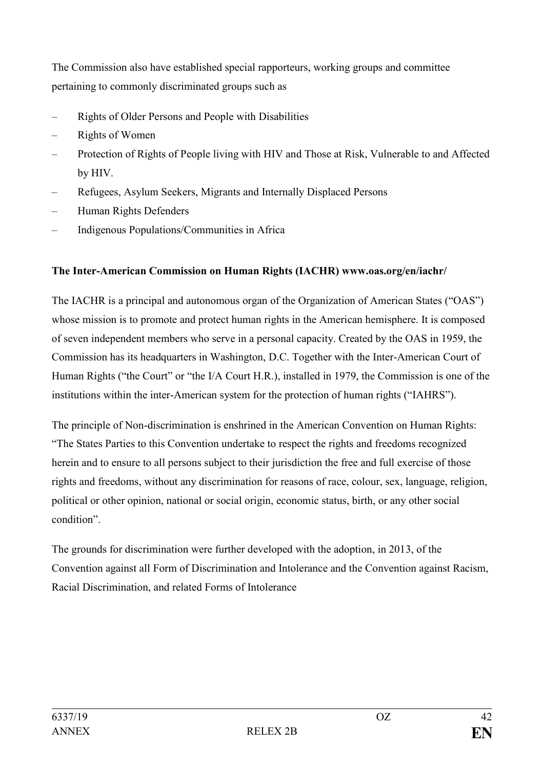The Commission also have established special rapporteurs, working groups and committee pertaining to commonly discriminated groups such as

- Rights of Older Persons and People with Disabilities
- Rights of Women
- Protection of Rights of People living with HIV and Those at Risk, Vulnerable to and Affected by HIV.
- Refugees, Asylum Seekers, Migrants and Internally Displaced Persons
- Human Rights Defenders
- Indigenous Populations/Communities in Africa

# **The Inter-American Commission on Human Rights (IACHR) www.oas.org/en/iachr/**

The IACHR is a principal and autonomous organ of the Organization of American States ("OAS") whose mission is to promote and protect human rights in the American hemisphere. It is composed of seven independent members who serve in a personal capacity. Created by the OAS in 1959, the Commission has its headquarters in Washington, D.C. Together with the Inter-American Court of Human Rights ("the Court" or "the I/A Court H.R.), installed in 1979, the Commission is one of the institutions within the inter-American system for the protection of human rights ("IAHRS").

The principle of Non-discrimination is enshrined in the American Convention on Human Rights: "The States Parties to this Convention undertake to respect the rights and freedoms recognized herein and to ensure to all persons subject to their jurisdiction the free and full exercise of those rights and freedoms, without any discrimination for reasons of race, colour, sex, language, religion, political or other opinion, national or social origin, economic status, birth, or any other social condition".

The grounds for discrimination were further developed with the adoption, in 2013, of the Convention against all Form of Discrimination and Intolerance and the Convention against Racism, Racial Discrimination, and related Forms of Intolerance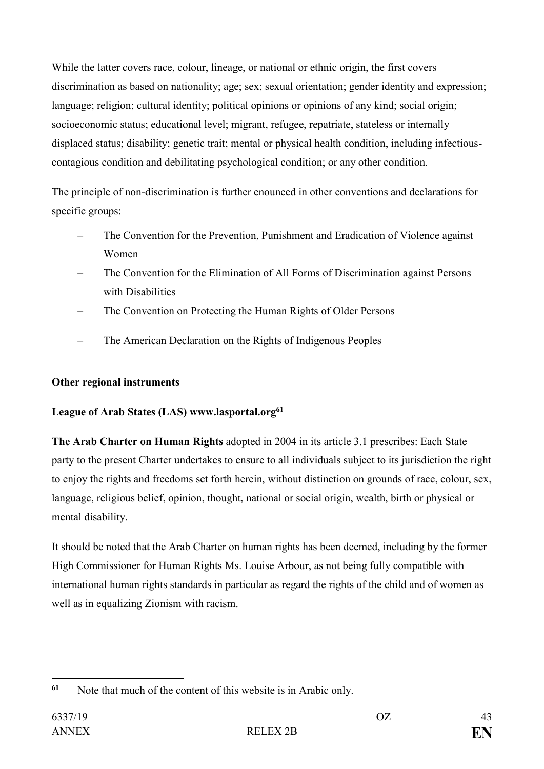While the latter covers race, colour, lineage, or national or ethnic origin, the first covers discrimination as based on nationality; age; sex; sexual orientation; gender identity and expression; language; religion; cultural identity; political opinions or opinions of any kind; social origin; socioeconomic status; educational level; migrant, refugee, repatriate, stateless or internally displaced status; disability; genetic trait; mental or physical health condition, including infectiouscontagious condition and debilitating psychological condition; or any other condition.

The principle of non-discrimination is further enounced in other conventions and declarations for specific groups:

- The Convention for the Prevention, Punishment and Eradication of Violence against Women
- The Convention for the Elimination of All Forms of Discrimination against Persons with Disabilities
- The Convention on Protecting the Human Rights of Older Persons
- The American Declaration on the Rights of Indigenous Peoples

# **Other regional instruments**

# **League of Arab States (LAS) www.lasportal.org<sup>61</sup>**

**The Arab Charter on Human Rights** adopted in 2004 in its article 3.1 prescribes: Each State party to the present Charter undertakes to ensure to all individuals subject to its jurisdiction the right to enjoy the rights and freedoms set forth herein, without distinction on grounds of race, colour, sex, language, religious belief, opinion, thought, national or social origin, wealth, birth or physical or mental disability.

It should be noted that the Arab Charter on human rights has been deemed, including by the former High Commissioner for Human Rights Ms. Louise Arbour, as not being fully compatible with international human rights standards in particular as regard the rights of the child and of women as well as in equalizing Zionism with racism.

<sup>1</sup> **<sup>61</sup>** Note that much of the content of this website is in Arabic only.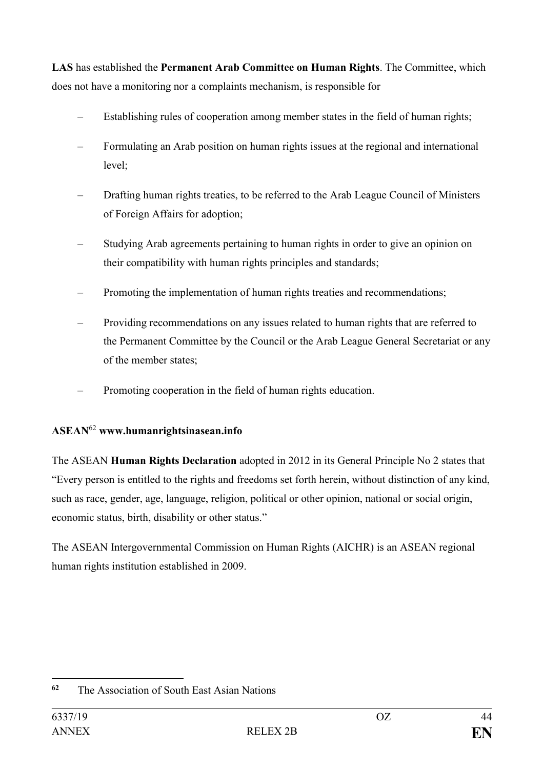**LAS** has established the **Permanent Arab Committee on Human Rights**. The Committee, which does not have a monitoring nor a complaints mechanism, is responsible for

- Establishing rules of cooperation among member states in the field of human rights;
- Formulating an Arab position on human rights issues at the regional and international level;
- Drafting human rights treaties, to be referred to the Arab League Council of Ministers of Foreign Affairs for adoption;
- Studying Arab agreements pertaining to human rights in order to give an opinion on their compatibility with human rights principles and standards;
- Promoting the implementation of human rights treaties and recommendations;
- Providing recommendations on any issues related to human rights that are referred to the Permanent Committee by the Council or the Arab League General Secretariat or any of the member states;
- Promoting cooperation in the field of human rights education.

# **ASEAN**<sup>62</sup> **www.humanrightsinasean.info**

The ASEAN **Human Rights Declaration** adopted in 2012 in its General Principle No 2 states that "Every person is entitled to the rights and freedoms set forth herein, without distinction of any kind, such as race, gender, age, language, religion, political or other opinion, national or social origin, economic status, birth, disability or other status."

The ASEAN Intergovernmental Commission on Human Rights (AICHR) is an ASEAN regional human rights institution established in 2009.

<sup>1</sup> **<sup>62</sup>** The Association of South East Asian Nations